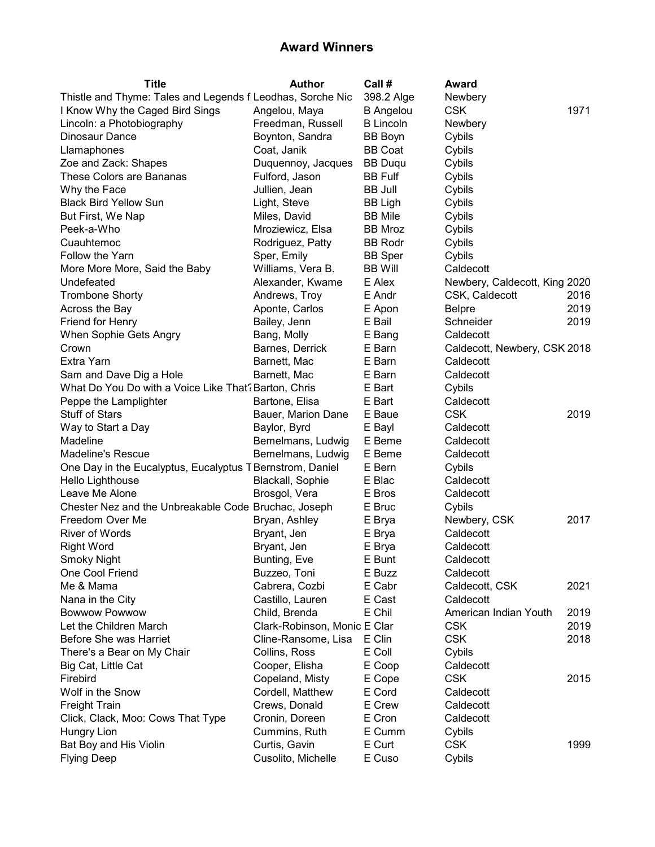| <b>Title</b>                                                | <b>Author</b>                | Call #           | Award                         |      |
|-------------------------------------------------------------|------------------------------|------------------|-------------------------------|------|
| Thistle and Thyme: Tales and Legends fi Leodhas, Sorche Nic |                              | 398.2 Alge       | Newbery                       |      |
| I Know Why the Caged Bird Sings                             | Angelou, Maya                | <b>B</b> Angelou | <b>CSK</b>                    | 1971 |
| Lincoln: a Photobiography                                   | Freedman, Russell            | <b>B</b> Lincoln | Newbery                       |      |
| Dinosaur Dance                                              | Boynton, Sandra              | <b>BB Boyn</b>   | Cybils                        |      |
| Llamaphones                                                 | Coat, Janik                  | <b>BB Coat</b>   | Cybils                        |      |
| Zoe and Zack: Shapes                                        | Duquennoy, Jacques           | <b>BB Duqu</b>   | Cybils                        |      |
| These Colors are Bananas                                    | Fulford, Jason               | <b>BB Fulf</b>   | Cybils                        |      |
| Why the Face                                                | Jullien, Jean                | <b>BB Jull</b>   | Cybils                        |      |
| <b>Black Bird Yellow Sun</b>                                | Light, Steve                 | BB Ligh          | Cybils                        |      |
| But First, We Nap                                           | Miles, David                 | <b>BB</b> Mile   | Cybils                        |      |
| Peek-a-Who                                                  | Mroziewicz, Elsa             | BB Mroz          | Cybils                        |      |
| Cuauhtemoc                                                  | Rodriguez, Patty             | <b>BB Rodr</b>   | Cybils                        |      |
| Follow the Yarn                                             | Sper, Emily                  | <b>BB</b> Sper   | Cybils                        |      |
| More More More, Said the Baby                               | Williams, Vera B.            | <b>BB Will</b>   | Caldecott                     |      |
| Undefeated                                                  | Alexander, Kwame             | E Alex           | Newbery, Caldecott, King 2020 |      |
| <b>Trombone Shorty</b>                                      | Andrews, Troy                | E Andr           | CSK, Caldecott                | 2016 |
| Across the Bay                                              | Aponte, Carlos               | E Apon           | <b>Belpre</b>                 | 2019 |
| Friend for Henry                                            | Bailey, Jenn                 | E Bail           | Schneider                     | 2019 |
| When Sophie Gets Angry                                      | Bang, Molly                  | E Bang           | Caldecott                     |      |
| Crown                                                       | Barnes, Derrick              | E Barn           | Caldecott, Newbery, CSK 2018  |      |
| Extra Yarn                                                  | Barnett, Mac                 | E Barn           | Caldecott                     |      |
| Sam and Dave Dig a Hole                                     | Barnett, Mac                 | E Barn           | Caldecott                     |      |
| What Do You Do with a Voice Like That? Barton, Chris        |                              | E Bart           | Cybils                        |      |
| Peppe the Lamplighter                                       | Bartone, Elisa               | E Bart           | Caldecott                     |      |
| <b>Stuff of Stars</b>                                       | Bauer, Marion Dane           | E Baue           | <b>CSK</b>                    | 2019 |
| Way to Start a Day                                          | Baylor, Byrd                 | E Bayl           | Caldecott                     |      |
| Madeline                                                    | Bemelmans, Ludwig            | E Beme           | Caldecott                     |      |
| <b>Madeline's Rescue</b>                                    | Bemelmans, Ludwig            | E Beme           | Caldecott                     |      |
| One Day in the Eucalyptus, Eucalyptus T Bernstrom, Daniel   |                              | E Bern           | Cybils                        |      |
| Hello Lighthouse                                            | Blackall, Sophie             | E Blac           | Caldecott                     |      |
| Leave Me Alone                                              | Brosgol, Vera                | E Bros           | Caldecott                     |      |
| Chester Nez and the Unbreakable Code Bruchac, Joseph        |                              | E Bruc           | Cybils                        |      |
| Freedom Over Me                                             | Bryan, Ashley                | E Brya           | Newbery, CSK                  | 2017 |
| <b>River of Words</b>                                       | Bryant, Jen                  | E Brya           | Caldecott                     |      |
| <b>Right Word</b>                                           | Bryant, Jen                  | E Brya           | Caldecott                     |      |
| <b>Smoky Night</b>                                          | Bunting, Eve                 | E Bunt           | Caldecott                     |      |
| One Cool Friend                                             | Buzzeo, Toni                 | E Buzz           | Caldecott                     |      |
| Me & Mama                                                   | Cabrera, Cozbi               | E Cabr           | Caldecott, CSK                | 2021 |
| Nana in the City                                            | Castillo, Lauren             | E Cast           | Caldecott                     |      |
| <b>Bowwow Powwow</b>                                        | Child, Brenda                | E Chil           | American Indian Youth         | 2019 |
| Let the Children March                                      | Clark-Robinson, Monic E Clar |                  | <b>CSK</b>                    | 2019 |
| Before She was Harriet                                      | Cline-Ransome, Lisa          | E Clin           | <b>CSK</b>                    | 2018 |
| There's a Bear on My Chair                                  | Collins, Ross                | E Coll           | Cybils                        |      |
| Big Cat, Little Cat                                         | Cooper, Elisha               | E Coop           | Caldecott                     |      |
| Firebird                                                    | Copeland, Misty              | E Cope           | <b>CSK</b>                    | 2015 |
| Wolf in the Snow                                            | Cordell, Matthew             | E Cord           | Caldecott                     |      |
| <b>Freight Train</b>                                        | Crews, Donald                | E Crew           | Caldecott                     |      |
| Click, Clack, Moo: Cows That Type                           | Cronin, Doreen               | E Cron           | Caldecott                     |      |
| <b>Hungry Lion</b>                                          | Cummins, Ruth                | E Cumm           | Cybils                        |      |
| Bat Boy and His Violin                                      | Curtis, Gavin                | E Curt           | <b>CSK</b>                    | 1999 |
| <b>Flying Deep</b>                                          | Cusolito, Michelle           | E Cuso           | Cybils                        |      |
|                                                             |                              |                  |                               |      |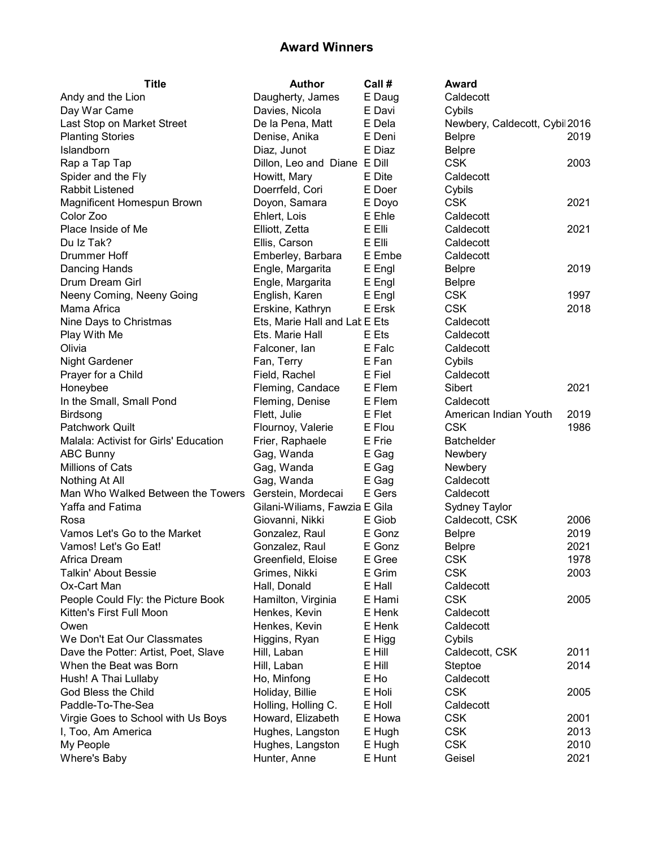| <b>Title</b>                          | <b>Author</b>                 | Call # | Award                         |      |
|---------------------------------------|-------------------------------|--------|-------------------------------|------|
| Andy and the Lion                     | Daugherty, James              | E Daug | Caldecott                     |      |
| Day War Came                          | Davies, Nicola                | E Davi | Cybils                        |      |
| Last Stop on Market Street            | De la Pena, Matt              | E Dela | Newbery, Caldecott, Cybi 2016 |      |
| <b>Planting Stories</b>               | Denise, Anika                 | E Deni | <b>Belpre</b>                 | 2019 |
| Islandborn                            | Diaz, Junot                   | E Diaz | <b>Belpre</b>                 |      |
| Rap a Tap Tap                         | Dillon, Leo and Diane E Dill  |        | <b>CSK</b>                    | 2003 |
| Spider and the Fly                    | Howitt, Mary                  | E Dite | Caldecott                     |      |
| Rabbit Listened                       | Doerrfeld, Cori               | E Doer | Cybils                        |      |
| Magnificent Homespun Brown            | Doyon, Samara                 | E Doyo | <b>CSK</b>                    | 2021 |
| Color Zoo                             | Ehlert, Lois                  | E Ehle | Caldecott                     |      |
| Place Inside of Me                    | Elliott, Zetta                | E Elli | Caldecott                     | 2021 |
| Du Iz Tak?                            | Ellis, Carson                 | E Elli | Caldecott                     |      |
| Drummer Hoff                          | Emberley, Barbara             | E Embe | Caldecott                     |      |
| Dancing Hands                         | Engle, Margarita              | E Engl | <b>Belpre</b>                 | 2019 |
| Drum Dream Girl                       | Engle, Margarita              | E Engl | <b>Belpre</b>                 |      |
| Neeny Coming, Neeny Going             | English, Karen                | E Engl | <b>CSK</b>                    | 1997 |
| Mama Africa                           | Erskine, Kathryn              | E Ersk | <b>CSK</b>                    | 2018 |
| Nine Days to Christmas                | Ets, Marie Hall and Lat E Ets |        | Caldecott                     |      |
| Play With Me                          | Ets. Marie Hall               | E Ets  | Caldecott                     |      |
| Olivia                                | Falconer, lan                 | E Falc | Caldecott                     |      |
| Night Gardener                        | Fan, Terry                    | E Fan  | Cybils                        |      |
| Prayer for a Child                    | Field, Rachel                 | E Fiel | Caldecott                     |      |
| Honeybee                              | Fleming, Candace              | E Flem | Sibert                        | 2021 |
| In the Small, Small Pond              | Fleming, Denise               | E Flem | Caldecott                     |      |
| Birdsong                              | Flett, Julie                  | E Flet | American Indian Youth         | 2019 |
| <b>Patchwork Quilt</b>                | Flournoy, Valerie             | E Flou | <b>CSK</b>                    | 1986 |
| Malala: Activist for Girls' Education | Frier, Raphaele               | E Frie | <b>Batchelder</b>             |      |
| <b>ABC Bunny</b>                      | Gag, Wanda                    | E Gag  | Newbery                       |      |
| <b>Millions of Cats</b>               | Gag, Wanda                    | E Gag  | Newbery                       |      |
| Nothing At All                        | Gag, Wanda                    | E Gag  | Caldecott                     |      |
| Man Who Walked Between the Towers     | Gerstein, Mordecai            | E Gers | Caldecott                     |      |
| Yaffa and Fatima                      | Gilani-Wiliams, Fawzia E Gila |        | <b>Sydney Taylor</b>          |      |
| Rosa                                  | Giovanni, Nikki               | E Giob | Caldecott, CSK                | 2006 |
| Vamos Let's Go to the Market          | Gonzalez, Raul                | E Gonz | <b>Belpre</b>                 | 2019 |
| Vamos! Let's Go Eat!                  | Gonzalez, Raul                | E Gonz | <b>Belpre</b>                 | 2021 |
| Africa Dream                          | Greenfield, Eloise            | E Gree | <b>CSK</b>                    | 1978 |
| Talkin' About Bessie                  | Grimes, Nikki                 | E Grim | <b>CSK</b>                    | 2003 |
| Ox-Cart Man                           | Hall, Donald                  | E Hall | Caldecott                     |      |
| People Could Fly: the Picture Book    | Hamilton, Virginia            | E Hami | <b>CSK</b>                    | 2005 |
| Kitten's First Full Moon              | Henkes, Kevin                 | E Henk | Caldecott                     |      |
| Owen                                  | Henkes, Kevin                 | E Henk | Caldecott                     |      |
| We Don't Eat Our Classmates           | Higgins, Ryan                 | E Higg | Cybils                        |      |
| Dave the Potter: Artist, Poet, Slave  | Hill, Laban                   | E Hill | Caldecott, CSK                | 2011 |
| When the Beat was Born                | Hill, Laban                   | E Hill | Steptoe                       | 2014 |
| Hush! A Thai Lullaby                  | Ho, Minfong                   | E Ho   | Caldecott                     |      |
| God Bless the Child                   | Holiday, Billie               | E Holi | <b>CSK</b>                    | 2005 |
| Paddle-To-The-Sea                     | Holling, Holling C.           | E Holl | Caldecott                     |      |
| Virgie Goes to School with Us Boys    | Howard, Elizabeth             | E Howa | <b>CSK</b>                    | 2001 |
| I, Too, Am America                    | Hughes, Langston              | E Hugh | <b>CSK</b>                    | 2013 |
| My People                             | Hughes, Langston              | E Hugh | <b>CSK</b>                    | 2010 |
| <b>Where's Baby</b>                   | Hunter, Anne                  | E Hunt | Geisel                        | 2021 |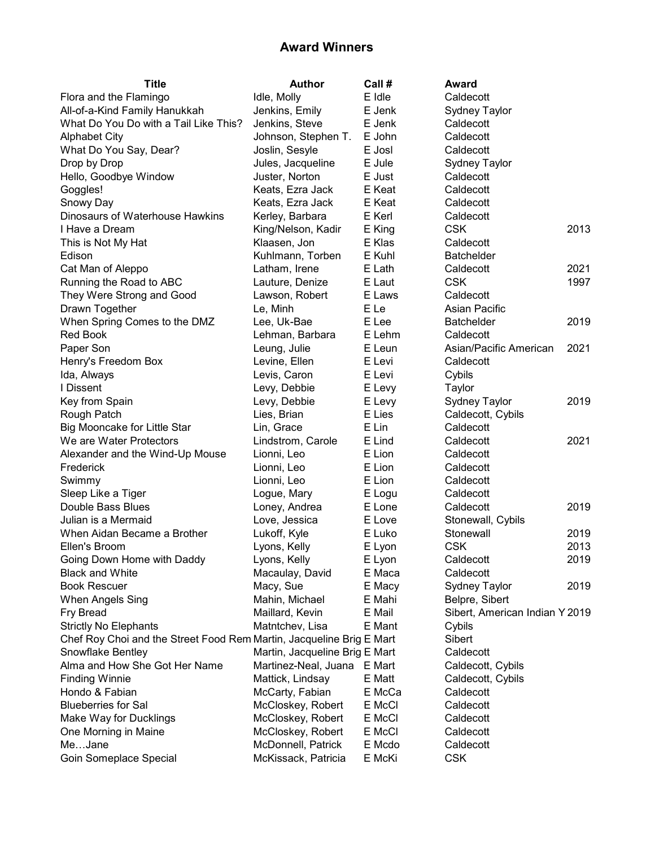| <b>Title</b>                                                         | <b>Author</b>                  | Call # | Award                                  |      |
|----------------------------------------------------------------------|--------------------------------|--------|----------------------------------------|------|
| Flora and the Flamingo                                               | Idle, Molly                    | E Idle | Caldecott                              |      |
| All-of-a-Kind Family Hanukkah                                        | Jenkins, Emily                 | E Jenk | <b>Sydney Taylor</b>                   |      |
| What Do You Do with a Tail Like This?                                | Jenkins, Steve                 | E Jenk | Caldecott                              |      |
| <b>Alphabet City</b>                                                 | Johnson, Stephen T.            | E John | Caldecott                              |      |
| What Do You Say, Dear?                                               | Joslin, Sesyle                 | E Josl | Caldecott                              |      |
| Drop by Drop                                                         | Jules, Jacqueline              | E Jule | Sydney Taylor                          |      |
| Hello, Goodbye Window                                                | Juster, Norton                 | E Just | Caldecott                              |      |
| Goggles!                                                             | Keats, Ezra Jack               | E Keat | Caldecott                              |      |
| Snowy Day                                                            | Keats, Ezra Jack               | E Keat | Caldecott                              |      |
| Dinosaurs of Waterhouse Hawkins                                      | Kerley, Barbara                | E Kerl | Caldecott                              |      |
| I Have a Dream                                                       | King/Nelson, Kadir             | E King | <b>CSK</b>                             | 2013 |
| This is Not My Hat                                                   | Klaasen, Jon                   | E Klas | Caldecott                              |      |
| Edison                                                               | Kuhlmann, Torben               | E Kuhl | <b>Batchelder</b>                      |      |
| Cat Man of Aleppo                                                    | Latham, Irene                  | E Lath | Caldecott                              | 2021 |
| Running the Road to ABC                                              | Lauture, Denize                | E Laut | <b>CSK</b>                             | 1997 |
| They Were Strong and Good                                            | Lawson, Robert                 | E Laws | Caldecott                              |      |
| Drawn Together                                                       | Le, Minh                       | E Le   | Asian Pacific                          |      |
| When Spring Comes to the DMZ                                         | Lee, Uk-Bae                    | E Lee  | <b>Batchelder</b>                      | 2019 |
| Red Book                                                             | Lehman, Barbara                | E Lehm | Caldecott                              |      |
| Paper Son                                                            | Leung, Julie                   | E Leun | Asian/Pacific American                 | 2021 |
| Henry's Freedom Box                                                  | Levine, Ellen                  | E Levi | Caldecott                              |      |
| Ida, Always                                                          | Levis, Caron                   | E Levi | Cybils                                 |      |
| I Dissent                                                            | Levy, Debbie                   | E Levy | Taylor                                 |      |
| Key from Spain                                                       | Levy, Debbie                   | E Levy | <b>Sydney Taylor</b>                   | 2019 |
| Rough Patch                                                          | Lies, Brian                    | E Lies | Caldecott, Cybils                      |      |
| Big Mooncake for Little Star                                         | Lin, Grace                     | E Lin  | Caldecott                              |      |
| We are Water Protectors                                              | Lindstrom, Carole              | E Lind | Caldecott                              | 2021 |
| Alexander and the Wind-Up Mouse                                      | Lionni, Leo                    | E Lion | Caldecott                              |      |
| Frederick                                                            | Lionni, Leo                    | E Lion | Caldecott                              |      |
| Swimmy                                                               | Lionni, Leo                    | E Lion | Caldecott                              |      |
| Sleep Like a Tiger                                                   | Logue, Mary                    | E Logu | Caldecott                              |      |
| Double Bass Blues                                                    | Loney, Andrea                  | E Lone | Caldecott                              | 2019 |
| Julian is a Mermaid                                                  | Love, Jessica                  | E Love | Stonewall, Cybils                      |      |
| When Aidan Became a Brother                                          | Lukoff, Kyle                   | E Luko | Stonewall                              | 2019 |
| Ellen's Broom                                                        | Lyons, Kelly                   | E Lyon | <b>CSK</b>                             | 2013 |
| Going Down Home with Daddy                                           | Lyons, Kelly                   | E Lyon | Caldecott                              | 2019 |
| <b>Black and White</b>                                               | Macaulay, David                | E Maca | Caldecott                              |      |
| <b>Book Rescuer</b>                                                  | Macy, Sue                      | E Macy | Sydney Taylor                          | 2019 |
| <b>When Angels Sing</b>                                              | Mahin, Michael                 | E Mahi | Belpre, Sibert                         |      |
| Fry Bread                                                            | Maillard, Kevin                | E Mail | Sibert, American Indian Y 2019         |      |
| <b>Strictly No Elephants</b>                                         | Matntchev, Lisa                | E Mant | Cybils                                 |      |
| Chef Roy Choi and the Street Food Rem Martin, Jacqueline Brig E Mart |                                |        | Sibert                                 |      |
| Snowflake Bentley                                                    | Martin, Jacqueline Brig E Mart |        | Caldecott                              |      |
| Alma and How She Got Her Name                                        | Martinez-Neal, Juana           | E Mart |                                        |      |
|                                                                      |                                | E Matt | Caldecott, Cybils<br>Caldecott, Cybils |      |
| <b>Finding Winnie</b><br>Hondo & Fabian                              | Mattick, Lindsay               |        | Caldecott                              |      |
|                                                                      | McCarty, Fabian                | E McCa |                                        |      |
| <b>Blueberries for Sal</b>                                           | McCloskey, Robert              | E McCl | Caldecott                              |      |
| Make Way for Ducklings                                               | McCloskey, Robert              | E McCl | Caldecott                              |      |
| One Morning in Maine                                                 | McCloskey, Robert              | E McCl | Caldecott                              |      |
| MeJane                                                               | McDonnell, Patrick             | E Mcdo | Caldecott                              |      |
| Goin Someplace Special                                               | McKissack, Patricia            | E McKi | <b>CSK</b>                             |      |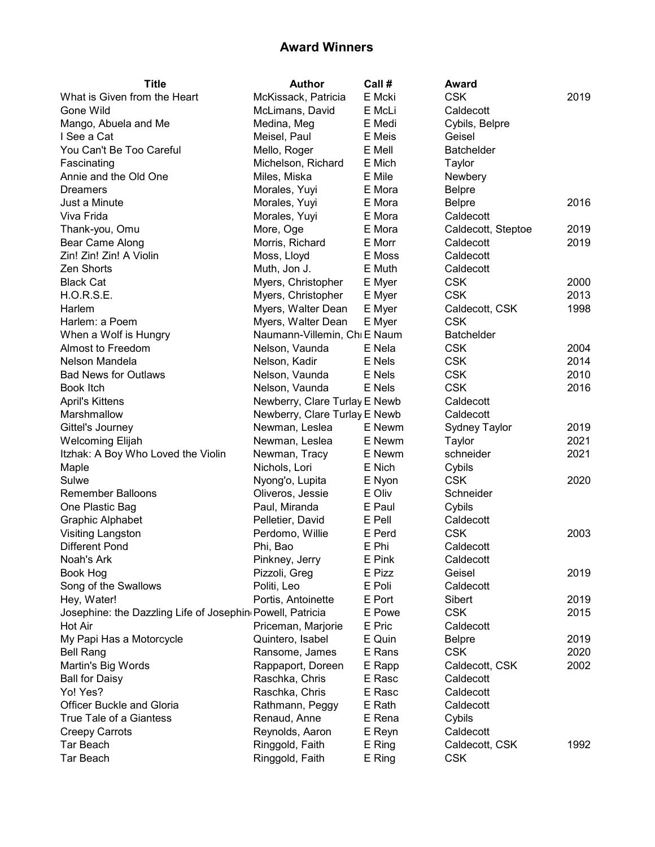| <b>Title</b>                                              | <b>Author</b>                 | Call # | Award              |      |
|-----------------------------------------------------------|-------------------------------|--------|--------------------|------|
| What is Given from the Heart                              | McKissack, Patricia           | E Mcki | <b>CSK</b>         | 2019 |
| Gone Wild                                                 | McLimans, David               | E McLi | Caldecott          |      |
| Mango, Abuela and Me                                      | Medina, Meg                   | E Medi | Cybils, Belpre     |      |
| I See a Cat                                               | Meisel, Paul                  | E Meis | Geisel             |      |
| You Can't Be Too Careful                                  | Mello, Roger                  | E Mell | <b>Batchelder</b>  |      |
| Fascinating                                               | Michelson, Richard            | E Mich | Taylor             |      |
| Annie and the Old One                                     | Miles, Miska                  | E Mile | Newbery            |      |
| Dreamers                                                  | Morales, Yuyi                 | E Mora | <b>Belpre</b>      |      |
| Just a Minute                                             | Morales, Yuyi                 | E Mora | <b>Belpre</b>      | 2016 |
| Viva Frida                                                | Morales, Yuyi                 | E Mora | Caldecott          |      |
| Thank-you, Omu                                            | More, Oge                     | E Mora | Caldecott, Steptoe | 2019 |
| Bear Came Along                                           | Morris, Richard               | E Morr | Caldecott          | 2019 |
| Zin! Zin! Zin! A Violin                                   | Moss, Lloyd                   | E Moss | Caldecott          |      |
| Zen Shorts                                                | Muth, Jon J.                  | E Muth | Caldecott          |      |
| <b>Black Cat</b>                                          | Myers, Christopher            | E Myer | <b>CSK</b>         | 2000 |
| H.O.R.S.E.                                                | Myers, Christopher            | E Myer | <b>CSK</b>         | 2013 |
| Harlem                                                    | Myers, Walter Dean            | E Myer | Caldecott, CSK     | 1998 |
| Harlem: a Poem                                            | Myers, Walter Dean            | E Myer | <b>CSK</b>         |      |
| When a Wolf is Hungry                                     | Naumann-Villemin, Chi E Naum  |        | <b>Batchelder</b>  |      |
| Almost to Freedom                                         | Nelson, Vaunda                | E Nela | <b>CSK</b>         | 2004 |
| Nelson Mandela                                            | Nelson, Kadir                 | E Nels | <b>CSK</b>         | 2014 |
| <b>Bad News for Outlaws</b>                               | Nelson, Vaunda                | E Nels | <b>CSK</b>         | 2010 |
| Book Itch                                                 | Nelson, Vaunda                | E Nels | <b>CSK</b>         | 2016 |
| <b>April's Kittens</b>                                    | Newberry, Clare Turlay E Newb |        | Caldecott          |      |
| Marshmallow                                               | Newberry, Clare Turlay E Newb |        | Caldecott          |      |
| Gittel's Journey                                          | Newman, Leslea                | E Newm | Sydney Taylor      | 2019 |
| <b>Welcoming Elijah</b>                                   | Newman, Leslea                | E Newm | Taylor             | 2021 |
| Itzhak: A Boy Who Loved the Violin                        | Newman, Tracy                 | E Newm | schneider          | 2021 |
| Maple                                                     | Nichols, Lori                 | E Nich | Cybils             |      |
| Sulwe                                                     | Nyong'o, Lupita               | E Nyon | <b>CSK</b>         | 2020 |
| <b>Remember Balloons</b>                                  | Oliveros, Jessie              | E Oliv | Schneider          |      |
| One Plastic Bag                                           | Paul, Miranda                 | E Paul | Cybils             |      |
| <b>Graphic Alphabet</b>                                   | Pelletier, David              | E Pell | Caldecott          |      |
| <b>Visiting Langston</b>                                  | Perdomo, Willie               | E Perd | <b>CSK</b>         | 2003 |
| <b>Different Pond</b>                                     | Phi, Bao                      | E Phi  | Caldecott          |      |
| Noah's Ark                                                | Pinkney, Jerry                | E Pink | Caldecott          |      |
| Book Hog                                                  | Pizzoli, Greg                 | E Pizz | Geisel             | 2019 |
| Song of the Swallows                                      | Politi, Leo                   | E Poli | Caldecott          |      |
| Hey, Water!                                               | Portis, Antoinette            | E Port | Sibert             | 2019 |
| Josephine: the Dazzling Life of Josephin Powell, Patricia |                               | E Powe | <b>CSK</b>         | 2015 |
| Hot Air                                                   | Priceman, Marjorie            | E Pric | Caldecott          |      |
| My Papi Has a Motorcycle                                  | Quintero, Isabel              | E Quin | <b>Belpre</b>      | 2019 |
| <b>Bell Rang</b>                                          | Ransome, James                | E Rans | <b>CSK</b>         | 2020 |
| Martin's Big Words                                        | Rappaport, Doreen             | E Rapp | Caldecott, CSK     | 2002 |
| <b>Ball for Daisy</b>                                     | Raschka, Chris                | E Rasc | Caldecott          |      |
| Yo! Yes?                                                  | Raschka, Chris                | E Rasc | Caldecott          |      |
| Officer Buckle and Gloria                                 | Rathmann, Peggy               | E Rath | Caldecott          |      |
| True Tale of a Giantess                                   | Renaud, Anne                  | E Rena | Cybils             |      |
| <b>Creepy Carrots</b>                                     | Reynolds, Aaron               | E Reyn | Caldecott          |      |
| Tar Beach                                                 | Ringgold, Faith               | E Ring | Caldecott, CSK     | 1992 |
| Tar Beach                                                 |                               |        | <b>CSK</b>         |      |
|                                                           | Ringgold, Faith               | E Ring |                    |      |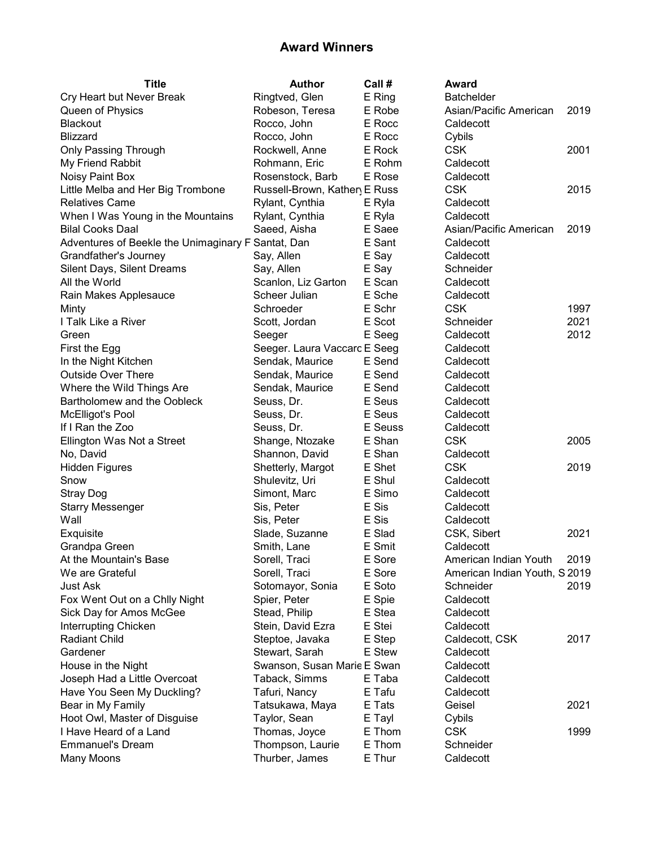| <b>Title</b>                                       | <b>Author</b>                | Call #  | Award                         |      |
|----------------------------------------------------|------------------------------|---------|-------------------------------|------|
| Cry Heart but Never Break                          | Ringtved, Glen               | E Ring  | <b>Batchelder</b>             |      |
| Queen of Physics                                   | Robeson, Teresa              | E Robe  | Asian/Pacific American        | 2019 |
| <b>Blackout</b>                                    | Rocco, John                  | E Rocc  | Caldecott                     |      |
| <b>Blizzard</b>                                    | Rocco, John                  | E Rocc  | Cybils                        |      |
| <b>Only Passing Through</b>                        | Rockwell, Anne               | E Rock  | <b>CSK</b>                    | 2001 |
| My Friend Rabbit                                   | Rohmann, Eric                | E Rohm  | Caldecott                     |      |
| Noisy Paint Box                                    | Rosenstock, Barb             | E Rose  | Caldecott                     |      |
| Little Melba and Her Big Trombone                  | Russell-Brown, Kather E Russ |         | <b>CSK</b>                    | 2015 |
| <b>Relatives Came</b>                              | Rylant, Cynthia              | E Ryla  | Caldecott                     |      |
| When I Was Young in the Mountains                  | Rylant, Cynthia              | E Ryla  | Caldecott                     |      |
| <b>Bilal Cooks Daal</b>                            | Saeed, Aisha                 | E Saee  | Asian/Pacific American        | 2019 |
| Adventures of Beekle the Unimaginary F Santat, Dan |                              | E Sant  | Caldecott                     |      |
| Grandfather's Journey                              | Say, Allen                   | E Say   | Caldecott                     |      |
| Silent Days, Silent Dreams                         | Say, Allen                   | E Say   | Schneider                     |      |
| All the World                                      | Scanlon, Liz Garton          | E Scan  | Caldecott                     |      |
| Rain Makes Applesauce                              | Scheer Julian                | E Sche  | Caldecott                     |      |
| Minty                                              | Schroeder                    | E Schr  | <b>CSK</b>                    | 1997 |
| I Talk Like a River                                | Scott, Jordan                | E Scot  | Schneider                     | 2021 |
| Green                                              | Seeger                       | E Seeg  | Caldecott                     | 2012 |
| First the Egg                                      | Seeger. Laura Vaccaro E Seeg |         | Caldecott                     |      |
| In the Night Kitchen                               | Sendak, Maurice              | E Send  | Caldecott                     |      |
| <b>Outside Over There</b>                          | Sendak, Maurice              | E Send  | Caldecott                     |      |
| Where the Wild Things Are                          | Sendak, Maurice              | E Send  | Caldecott                     |      |
| Bartholomew and the Oobleck                        | Seuss, Dr.                   | E Seus  | Caldecott                     |      |
| <b>McElligot's Pool</b>                            | Seuss, Dr.                   | E Seus  | Caldecott                     |      |
| If I Ran the Zoo                                   | Seuss, Dr.                   | E Seuss | Caldecott                     |      |
| Ellington Was Not a Street                         | Shange, Ntozake              | E Shan  | <b>CSK</b>                    | 2005 |
| No, David                                          | Shannon, David               | E Shan  | Caldecott                     |      |
| <b>Hidden Figures</b>                              | Shetterly, Margot            | E Shet  | <b>CSK</b>                    | 2019 |
| Snow                                               | Shulevitz, Uri               | E Shul  | Caldecott                     |      |
| <b>Stray Dog</b>                                   | Simont, Marc                 | E Simo  | Caldecott                     |      |
| <b>Starry Messenger</b>                            | Sis, Peter                   | E Sis   | Caldecott                     |      |
| Wall                                               | Sis, Peter                   | E Sis   | Caldecott                     |      |
| Exquisite                                          | Slade, Suzanne               | E Slad  | CSK, Sibert                   | 2021 |
| Grandpa Green                                      | Smith, Lane                  | E Smit  | Caldecott                     |      |
| At the Mountain's Base                             | Sorell, Traci                | E Sore  | American Indian Youth         | 2019 |
| We are Grateful                                    | Sorell, Traci                | E Sore  | American Indian Youth, S 2019 |      |
| Just Ask                                           | Sotomayor, Sonia             | E Soto  | Schneider                     | 2019 |
| Fox Went Out on a Chlly Night                      | Spier, Peter                 | E Spie  | Caldecott                     |      |
| Sick Day for Amos McGee                            | Stead, Philip                | E Stea  | Caldecott                     |      |
| Interrupting Chicken                               | Stein, David Ezra            | E Stei  | Caldecott                     |      |
| <b>Radiant Child</b>                               | Steptoe, Javaka              | E Step  | Caldecott, CSK                | 2017 |
| Gardener                                           | Stewart, Sarah               | E Stew  | Caldecott                     |      |
| House in the Night                                 | Swanson, Susan Marie E Swan  |         | Caldecott                     |      |
| Joseph Had a Little Overcoat                       | Taback, Simms                | E Taba  | Caldecott                     |      |
| Have You Seen My Duckling?                         | Tafuri, Nancy                | E Tafu  | Caldecott                     |      |
| Bear in My Family                                  | Tatsukawa, Maya              | E Tats  | Geisel                        | 2021 |
| Hoot Owl, Master of Disguise                       | Taylor, Sean                 | E Tayl  | Cybils                        |      |
| I Have Heard of a Land                             | Thomas, Joyce                | E Thom  | <b>CSK</b>                    | 1999 |
| <b>Emmanuel's Dream</b>                            | Thompson, Laurie             | E Thom  | Schneider                     |      |
| Many Moons                                         | Thurber, James               | E Thur  | Caldecott                     |      |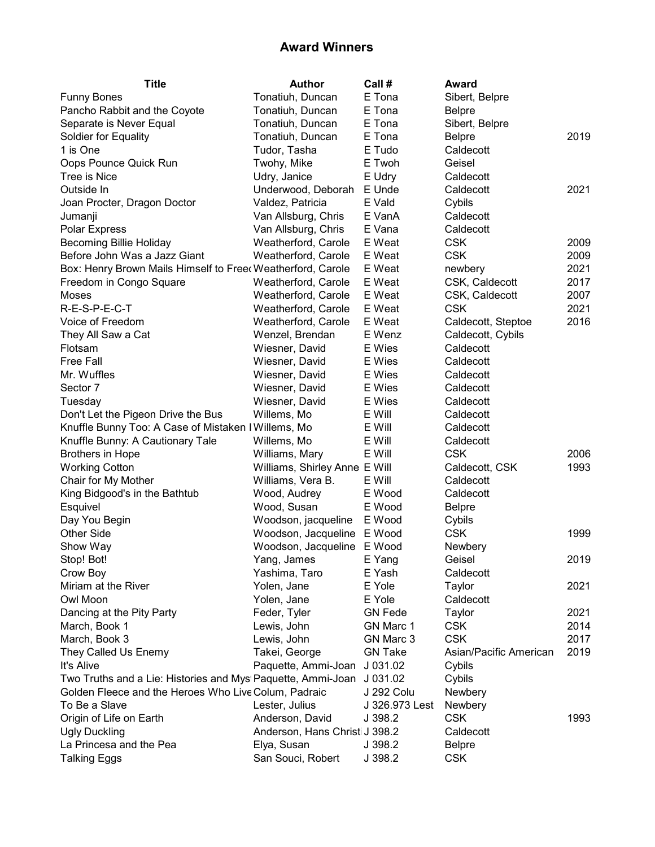| <b>Title</b>                                                | <b>Author</b>                  | Call #         | Award                  |      |
|-------------------------------------------------------------|--------------------------------|----------------|------------------------|------|
| <b>Funny Bones</b>                                          | Tonatiuh, Duncan               | E Tona         | Sibert, Belpre         |      |
| Pancho Rabbit and the Coyote                                | Tonatiuh, Duncan               | E Tona         | <b>Belpre</b>          |      |
| Separate is Never Equal                                     | Tonatiuh, Duncan               | E Tona         | Sibert, Belpre         |      |
| Soldier for Equality                                        | Tonatiuh, Duncan               | E Tona         | <b>Belpre</b>          | 2019 |
| 1 is One                                                    | Tudor, Tasha                   | E Tudo         | Caldecott              |      |
| Oops Pounce Quick Run                                       | Twohy, Mike                    | E Twoh         | Geisel                 |      |
| Tree is Nice                                                | Udry, Janice                   | E Udry         | Caldecott              |      |
| Outside In                                                  | Underwood, Deborah             | E Unde         | Caldecott              | 2021 |
| Joan Procter, Dragon Doctor                                 | Valdez, Patricia               | E Vald         | Cybils                 |      |
| Jumanji                                                     | Van Allsburg, Chris            | E VanA         | Caldecott              |      |
| Polar Express                                               | Van Allsburg, Chris            | E Vana         | Caldecott              |      |
| <b>Becoming Billie Holiday</b>                              | Weatherford, Carole            | E Weat         | <b>CSK</b>             | 2009 |
| Before John Was a Jazz Giant                                | Weatherford, Carole            | E Weat         | <b>CSK</b>             | 2009 |
| Box: Henry Brown Mails Himself to Freed Weatherford, Carole |                                | E Weat         | newbery                | 2021 |
| Freedom in Congo Square                                     | Weatherford, Carole            | E Weat         | CSK, Caldecott         | 2017 |
| Moses                                                       | Weatherford, Carole            | E Weat         | CSK, Caldecott         | 2007 |
| R-E-S-P-E-C-T                                               | Weatherford, Carole            | E Weat         | <b>CSK</b>             | 2021 |
| Voice of Freedom                                            | Weatherford, Carole            | E Weat         | Caldecott, Steptoe     | 2016 |
| They All Saw a Cat                                          | Wenzel, Brendan                | E Wenz         | Caldecott, Cybils      |      |
| Flotsam                                                     | Wiesner, David                 | E Wies         | Caldecott              |      |
| <b>Free Fall</b>                                            | Wiesner, David                 | E Wies         | Caldecott              |      |
| Mr. Wuffles                                                 | Wiesner, David                 | E Wies         | Caldecott              |      |
| Sector 7                                                    | Wiesner, David                 | E Wies         | Caldecott              |      |
| Tuesday                                                     | Wiesner, David                 | E Wies         | Caldecott              |      |
| Don't Let the Pigeon Drive the Bus                          | Willems, Mo                    | E Will         | Caldecott              |      |
| Knuffle Bunny Too: A Case of Mistaken I Willems, Mo         |                                | E Will         | Caldecott              |      |
| Knuffle Bunny: A Cautionary Tale                            | Willems, Mo                    | E Will         | Caldecott              |      |
| <b>Brothers in Hope</b>                                     | Williams, Mary                 | E Will         | <b>CSK</b>             | 2006 |
| <b>Working Cotton</b>                                       | Williams, Shirley Anne E Will  |                | Caldecott, CSK         | 1993 |
| Chair for My Mother                                         | Williams, Vera B.              | E Will         | Caldecott              |      |
| King Bidgood's in the Bathtub                               | Wood, Audrey                   | E Wood         | Caldecott              |      |
| Esquivel                                                    | Wood, Susan                    | E Wood         | <b>Belpre</b>          |      |
| Day You Begin                                               | Woodson, jacqueline            | E Wood         | Cybils                 |      |
| <b>Other Side</b>                                           | Woodson, Jacqueline            | E Wood         | <b>CSK</b>             | 1999 |
| Show Way                                                    | Woodson, Jacqueline E Wood     |                | Newbery                |      |
| Stop! Bot!                                                  | Yang, James                    | E Yang         | Geisel                 | 2019 |
| Crow Boy                                                    | Yashima, Taro                  | E Yash         | Caldecott              |      |
| Miriam at the River                                         | Yolen, Jane                    | E Yole         | Taylor                 | 2021 |
| Owl Moon                                                    | Yolen, Jane                    | E Yole         | Caldecott              |      |
| Dancing at the Pity Party                                   | Feder, Tyler                   | <b>GN Fede</b> | Taylor                 | 2021 |
| March, Book 1                                               | Lewis, John                    | GN Marc 1      | <b>CSK</b>             | 2014 |
| March, Book 3                                               | Lewis, John                    | GN Marc 3      | <b>CSK</b>             | 2017 |
| They Called Us Enemy                                        | Takei, George                  | <b>GN Take</b> | Asian/Pacific American | 2019 |
| It's Alive                                                  | Paquette, Ammi-Joan            | J 031.02       | Cybils                 |      |
| Two Truths and a Lie: Histories and Mys Paquette, Ammi-Joan |                                | J 031.02       | Cybils                 |      |
| Golden Fleece and the Heroes Who Live Colum, Padraic        |                                | J 292 Colu     | Newbery                |      |
| To Be a Slave                                               | Lester, Julius                 | J 326.973 Lest | Newbery                |      |
| Origin of Life on Earth                                     | Anderson, David                | J 398.2        | <b>CSK</b>             | 1993 |
| <b>Ugly Duckling</b>                                        | Anderson, Hans Christi J 398.2 |                | Caldecott              |      |
| La Princesa and the Pea                                     | Elya, Susan                    | J 398.2        | <b>Belpre</b>          |      |
| <b>Talking Eggs</b>                                         | San Souci, Robert              | J 398.2        | <b>CSK</b>             |      |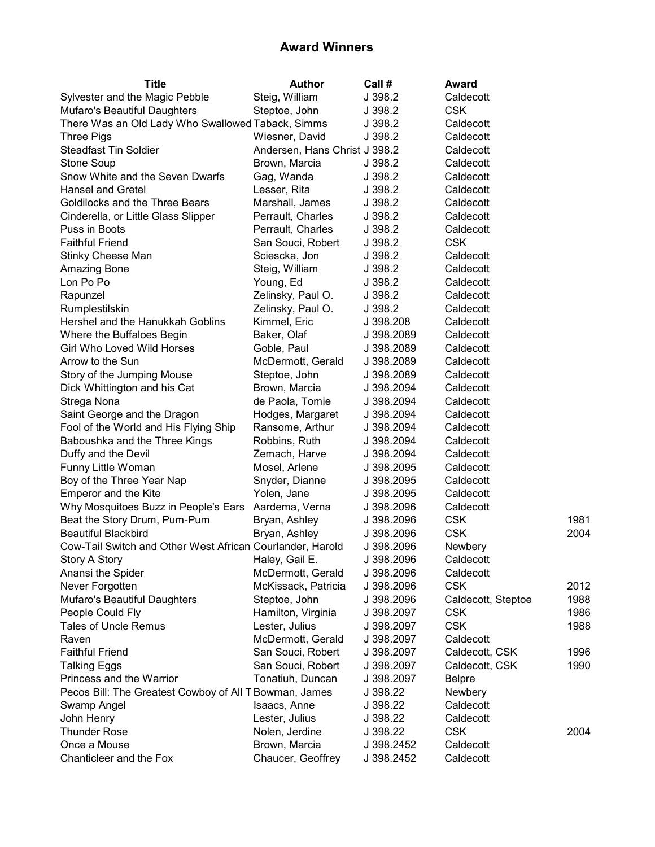| Title                                                     | <b>Author</b>                  | Call #     | Award              |      |
|-----------------------------------------------------------|--------------------------------|------------|--------------------|------|
| Sylvester and the Magic Pebble                            | Steig, William                 | J 398.2    | Caldecott          |      |
| Mufaro's Beautiful Daughters                              | Steptoe, John                  | J 398.2    | <b>CSK</b>         |      |
| There Was an Old Lady Who Swallowed Taback, Simms         |                                | J 398.2    | Caldecott          |      |
| <b>Three Pigs</b>                                         | Wiesner, David                 | J 398.2    | Caldecott          |      |
| <b>Steadfast Tin Soldier</b>                              | Andersen, Hans Christi J 398.2 |            | Caldecott          |      |
| Stone Soup                                                | Brown, Marcia                  | J 398.2    | Caldecott          |      |
| Snow White and the Seven Dwarfs                           | Gag, Wanda                     | J 398.2    | Caldecott          |      |
| <b>Hansel and Gretel</b>                                  | Lesser, Rita                   | J 398.2    | Caldecott          |      |
| Goldilocks and the Three Bears                            | Marshall, James                | J 398.2    | Caldecott          |      |
| Cinderella, or Little Glass Slipper                       | Perrault, Charles              | J 398.2    | Caldecott          |      |
| Puss in Boots                                             | Perrault, Charles              | J 398.2    | Caldecott          |      |
| <b>Faithful Friend</b>                                    | San Souci, Robert              | J 398.2    | <b>CSK</b>         |      |
| Stinky Cheese Man                                         | Sciescka, Jon                  | J 398.2    | Caldecott          |      |
| Amazing Bone                                              | Steig, William                 | J 398.2    | Caldecott          |      |
| Lon Po Po                                                 | Young, Ed                      | J 398.2    | Caldecott          |      |
| Rapunzel                                                  | Zelinsky, Paul O.              | J 398.2    | Caldecott          |      |
| Rumplestilskin                                            | Zelinsky, Paul O.              | J 398.2    | Caldecott          |      |
| Hershel and the Hanukkah Goblins                          | Kimmel, Eric                   | J 398.208  | Caldecott          |      |
| Where the Buffaloes Begin                                 | Baker, Olaf                    | J 398.2089 | Caldecott          |      |
| Girl Who Loved Wild Horses                                | Goble, Paul                    | J 398.2089 | Caldecott          |      |
| Arrow to the Sun                                          | McDermott, Gerald              | J 398.2089 | Caldecott          |      |
| Story of the Jumping Mouse                                | Steptoe, John                  | J 398.2089 | Caldecott          |      |
| Dick Whittington and his Cat                              | Brown, Marcia                  | J 398.2094 | Caldecott          |      |
| Strega Nona                                               | de Paola, Tomie                | J 398.2094 | Caldecott          |      |
| Saint George and the Dragon                               | Hodges, Margaret               | J 398.2094 | Caldecott          |      |
| Fool of the World and His Flying Ship                     | Ransome, Arthur                | J 398.2094 | Caldecott          |      |
| Baboushka and the Three Kings                             | Robbins, Ruth                  | J 398.2094 | Caldecott          |      |
| Duffy and the Devil                                       | Zemach, Harve                  | J 398.2094 | Caldecott          |      |
| Funny Little Woman                                        | Mosel, Arlene                  | J 398.2095 | Caldecott          |      |
| Boy of the Three Year Nap                                 | Snyder, Dianne                 | J 398.2095 | Caldecott          |      |
| <b>Emperor and the Kite</b>                               | Yolen, Jane                    | J 398.2095 | Caldecott          |      |
| Why Mosquitoes Buzz in People's Ears Aardema, Verna       |                                | J 398.2096 | Caldecott          |      |
| Beat the Story Drum, Pum-Pum                              | Bryan, Ashley                  | J 398.2096 | <b>CSK</b>         | 1981 |
| <b>Beautiful Blackbird</b>                                | Bryan, Ashley                  | J 398.2096 | <b>CSK</b>         | 2004 |
| Cow-Tail Switch and Other West African Courlander, Harold |                                | J 398.2096 | Newbery            |      |
| Story A Story                                             | Haley, Gail E.                 | J 398.2096 | Caldecott          |      |
| Anansi the Spider                                         | McDermott, Gerald              | J 398.2096 | Caldecott          |      |
| Never Forgotten                                           | McKissack, Patricia            | J 398.2096 | <b>CSK</b>         | 2012 |
| Mufaro's Beautiful Daughters                              | Steptoe, John                  | J 398.2096 | Caldecott, Steptoe | 1988 |
| People Could Fly                                          | Hamilton, Virginia             | J 398.2097 | <b>CSK</b>         | 1986 |
| <b>Tales of Uncle Remus</b>                               | Lester, Julius                 | J 398.2097 | <b>CSK</b>         | 1988 |
| Raven                                                     | McDermott, Gerald              | J 398.2097 | Caldecott          |      |
| <b>Faithful Friend</b>                                    | San Souci, Robert              | J 398.2097 | Caldecott, CSK     | 1996 |
| <b>Talking Eggs</b>                                       | San Souci, Robert              | J 398.2097 | Caldecott, CSK     | 1990 |
| Princess and the Warrior                                  | Tonatiuh, Duncan               | J 398.2097 | <b>Belpre</b>      |      |
| Pecos Bill: The Greatest Cowboy of All T Bowman, James    |                                | J 398.22   | Newbery            |      |
| Swamp Angel                                               | Isaacs, Anne                   | J 398.22   | Caldecott          |      |
| John Henry                                                | Lester, Julius                 | J 398.22   | Caldecott          |      |
| <b>Thunder Rose</b>                                       | Nolen, Jerdine                 | J 398.22   | <b>CSK</b>         | 2004 |
| Once a Mouse                                              | Brown, Marcia                  | J 398.2452 | Caldecott          |      |
| Chanticleer and the Fox                                   | Chaucer, Geoffrey              | J 398.2452 | Caldecott          |      |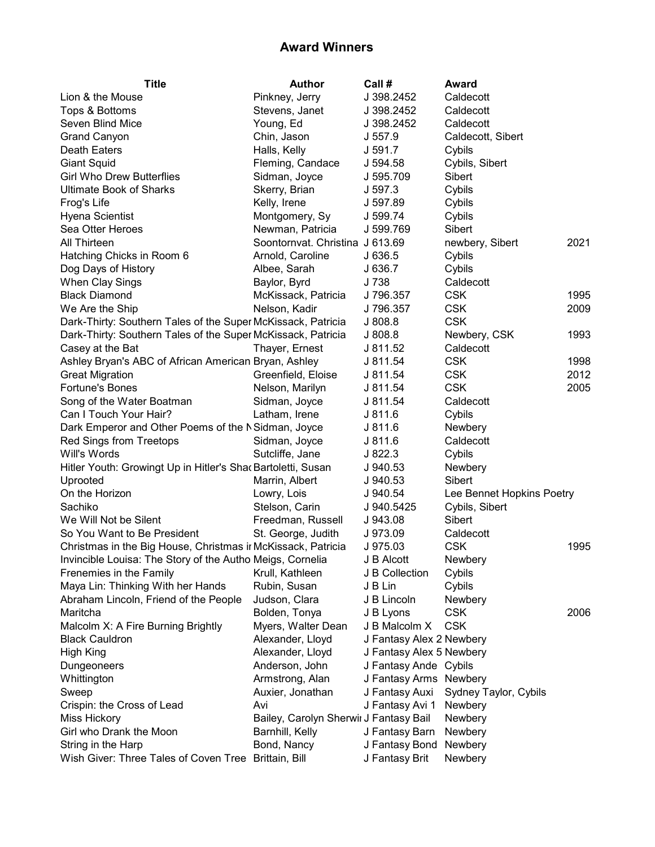| <b>Title</b>                                                 | <b>Author</b>                          | Call #                   | Award                     |      |
|--------------------------------------------------------------|----------------------------------------|--------------------------|---------------------------|------|
| Lion & the Mouse                                             | Pinkney, Jerry                         | J 398.2452               | Caldecott                 |      |
| Tops & Bottoms                                               | Stevens, Janet                         | J 398.2452               | Caldecott                 |      |
| Seven Blind Mice                                             | Young, Ed                              | J 398.2452               | Caldecott                 |      |
| <b>Grand Canyon</b>                                          | Chin, Jason                            | J 557.9                  | Caldecott, Sibert         |      |
| <b>Death Eaters</b>                                          | Halls, Kelly                           | J 591.7                  | Cybils                    |      |
| <b>Giant Squid</b>                                           | Fleming, Candace                       | J 594.58                 | Cybils, Sibert            |      |
| <b>Girl Who Drew Butterflies</b>                             | Sidman, Joyce                          | J 595.709                | Sibert                    |      |
| <b>Ultimate Book of Sharks</b>                               | Skerry, Brian                          | J 597.3                  | Cybils                    |      |
| Frog's Life                                                  | Kelly, Irene                           | J 597.89                 | Cybils                    |      |
| Hyena Scientist                                              | Montgomery, Sy                         | J 599.74                 | Cybils                    |      |
| Sea Otter Heroes                                             | Newman, Patricia                       | J 599.769                | Sibert                    |      |
| All Thirteen                                                 | Soontornvat. Christina J 613.69        |                          | newbery, Sibert           | 2021 |
| Hatching Chicks in Room 6                                    | Arnold, Caroline                       | J 636.5                  | Cybils                    |      |
| Dog Days of History                                          | Albee, Sarah                           | J 636.7                  | Cybils                    |      |
| When Clay Sings                                              | Baylor, Byrd                           | J 738                    | Caldecott                 |      |
| <b>Black Diamond</b>                                         | McKissack, Patricia                    | J 796.357                | <b>CSK</b>                | 1995 |
| We Are the Ship                                              | Nelson, Kadir                          | J 796.357                | <b>CSK</b>                | 2009 |
| Dark-Thirty: Southern Tales of the Super McKissack, Patricia |                                        | J808.8                   | <b>CSK</b>                |      |
| Dark-Thirty: Southern Tales of the Super McKissack, Patricia |                                        | J808.8                   | Newbery, CSK              | 1993 |
| Casey at the Bat                                             | Thayer, Ernest                         | J 811.52                 | Caldecott                 |      |
| Ashley Bryan's ABC of African American Bryan, Ashley         |                                        | J 811.54                 | <b>CSK</b>                | 1998 |
| <b>Great Migration</b>                                       | Greenfield, Eloise                     | J 811.54                 | <b>CSK</b>                | 2012 |
| Fortune's Bones                                              | Nelson, Marilyn                        | J 811.54                 | <b>CSK</b>                | 2005 |
| Song of the Water Boatman                                    | Sidman, Joyce                          | J 811.54                 | Caldecott                 |      |
| Can I Touch Your Hair?                                       | Latham, Irene                          | J 811.6                  | Cybils                    |      |
| Dark Emperor and Other Poems of the N Sidman, Joyce          |                                        | J811.6                   | Newbery                   |      |
| Red Sings from Treetops                                      | Sidman, Joyce                          | J811.6                   | Caldecott                 |      |
| Will's Words                                                 | Sutcliffe, Jane                        | J822.3                   | Cybils                    |      |
| Hitler Youth: Growingt Up in Hitler's Shac Bartoletti, Susan |                                        | J 940.53                 | Newbery                   |      |
| Uprooted                                                     | Marrin, Albert                         | J 940.53                 | Sibert                    |      |
| On the Horizon                                               | Lowry, Lois                            | J 940.54                 | Lee Bennet Hopkins Poetry |      |
| Sachiko                                                      | Stelson, Carin                         | J 940.5425               | Cybils, Sibert            |      |
| We Will Not be Silent                                        | Freedman, Russell                      | J 943.08                 | Sibert                    |      |
| So You Want to Be President                                  | St. George, Judith                     | J 973.09                 | Caldecott                 |      |
| Christmas in the Big House, Christmas ir McKissack, Patricia |                                        | J 975.03                 | <b>CSK</b>                | 1995 |
| Invincible Louisa: The Story of the Autho Meigs, Cornelia    |                                        | J B Alcott               | Newbery                   |      |
| Frenemies in the Family                                      | Krull, Kathleen                        | J B Collection           | Cybils                    |      |
| Maya Lin: Thinking With her Hands                            | Rubin, Susan                           | J B Lin                  | Cybils                    |      |
| Abraham Lincoln, Friend of the People                        | Judson, Clara                          | J B Lincoln              | Newbery                   |      |
| Maritcha                                                     | Bolden, Tonya                          | J B Lyons                | <b>CSK</b>                | 2006 |
| Malcolm X: A Fire Burning Brightly                           | Myers, Walter Dean                     | J B Malcolm X            | <b>CSK</b>                |      |
| <b>Black Cauldron</b>                                        | Alexander, Lloyd                       | J Fantasy Alex 2 Newbery |                           |      |
| High King                                                    | Alexander, Lloyd                       | J Fantasy Alex 5 Newbery |                           |      |
| Dungeoneers                                                  | Anderson, John                         | J Fantasy Ande Cybils    |                           |      |
| Whittington                                                  | Armstrong, Alan                        | J Fantasy Arms Newbery   |                           |      |
| Sweep                                                        | Auxier, Jonathan                       | J Fantasy Auxi           | Sydney Taylor, Cybils     |      |
| Crispin: the Cross of Lead                                   | Avi                                    | J Fantasy Avi 1          | Newbery                   |      |
| <b>Miss Hickory</b>                                          | Bailey, Carolyn Sherwir J Fantasy Bail |                          | Newbery                   |      |
| Girl who Drank the Moon                                      | Barnhill, Kelly                        | J Fantasy Barn           | Newbery                   |      |
| String in the Harp                                           | Bond, Nancy                            | J Fantasy Bond           | Newbery                   |      |
| Wish Giver: Three Tales of Coven Tree Brittain, Bill         |                                        | J Fantasy Brit           | Newbery                   |      |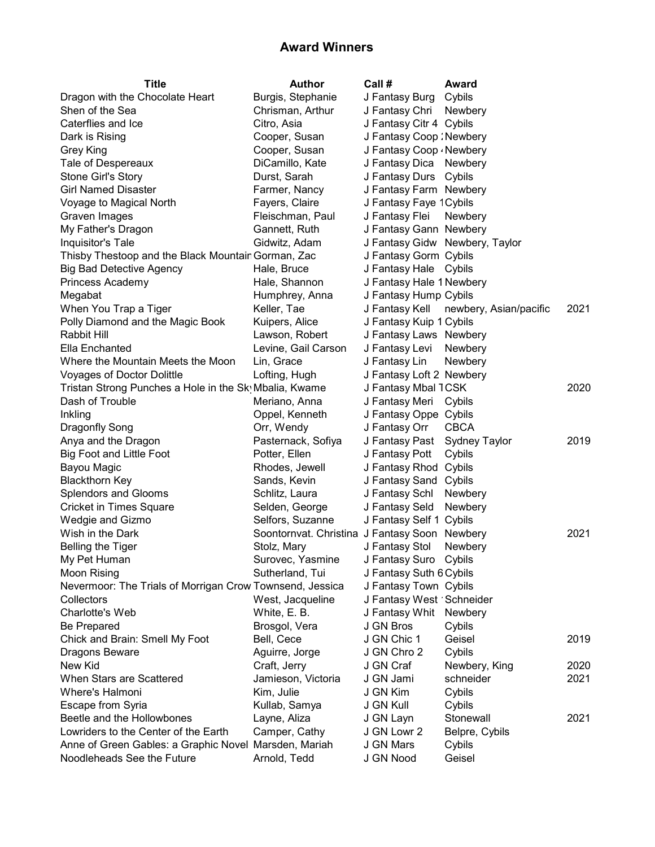| <b>Title</b>                                             | <b>Author</b>                                 | Call #                       | Award                                 |      |
|----------------------------------------------------------|-----------------------------------------------|------------------------------|---------------------------------------|------|
| Dragon with the Chocolate Heart                          | Burgis, Stephanie                             | J Fantasy Burg Cybils        |                                       |      |
| Shen of the Sea                                          | Chrisman, Arthur                              | J Fantasy Chri Newbery       |                                       |      |
| Caterflies and Ice                                       | Citro, Asia                                   | J Fantasy Citr 4 Cybils      |                                       |      |
| Dark is Rising                                           | Cooper, Susan                                 | J Fantasy Coop : Newbery     |                                       |      |
| Grey King                                                | Cooper, Susan                                 | J Fantasy Coop . Newbery     |                                       |      |
| Tale of Despereaux                                       | DiCamillo, Kate                               | J Fantasy Dica Newbery       |                                       |      |
| Stone Girl's Story                                       | Durst, Sarah                                  | J Fantasy Durs Cybils        |                                       |      |
| <b>Girl Named Disaster</b>                               | Farmer, Nancy                                 | J Fantasy Farm Newbery       |                                       |      |
| Voyage to Magical North                                  | Fayers, Claire                                | J Fantasy Faye 1 Cybils      |                                       |      |
| Graven Images                                            | Fleischman, Paul                              | J Fantasy Flei               | Newbery                               |      |
| My Father's Dragon                                       | Gannett, Ruth                                 | J Fantasy Gann Newbery       |                                       |      |
| Inquisitor's Tale                                        | Gidwitz, Adam                                 |                              | J Fantasy Gidw Newbery, Taylor        |      |
| Thisby Thestoop and the Black Mountair Gorman, Zac       |                                               | J Fantasy Gorm Cybils        |                                       |      |
| <b>Big Bad Detective Agency</b>                          | Hale, Bruce                                   | J Fantasy Hale Cybils        |                                       |      |
| Princess Academy                                         | Hale, Shannon                                 | J Fantasy Hale 1 Newbery     |                                       |      |
| Megabat                                                  | Humphrey, Anna                                | J Fantasy Hump Cybils        |                                       |      |
| When You Trap a Tiger                                    | Keller, Tae                                   |                              | J Fantasy Kell newbery, Asian/pacific | 2021 |
| Polly Diamond and the Magic Book                         | Kuipers, Alice                                | J Fantasy Kuip 1 Cybils      |                                       |      |
| Rabbit Hill                                              | Lawson, Robert                                | J Fantasy Laws Newbery       |                                       |      |
| Ella Enchanted                                           | Levine, Gail Carson                           | J Fantasy Levi               | Newbery                               |      |
| Where the Mountain Meets the Moon                        | Lin, Grace                                    | J Fantasy Lin                | <b>Newbery</b>                        |      |
| Voyages of Doctor Dolittle                               | Lofting, Hugh                                 | J Fantasy Loft 2 Newbery     |                                       |      |
| Tristan Strong Punches a Hole in the Sky Mbalia, Kwame   |                                               | J Fantasy Mbal 1CSK          |                                       | 2020 |
| Dash of Trouble                                          | Meriano, Anna                                 | J Fantasy Meri Cybils        |                                       |      |
| Inkling                                                  | Oppel, Kenneth                                | J Fantasy Oppe Cybils        |                                       |      |
| Dragonfly Song                                           | Orr, Wendy                                    | J Fantasy Orr                | <b>CBCA</b>                           |      |
| Anya and the Dragon                                      | Pasternack, Sofiya                            | J Fantasy Past Sydney Taylor |                                       | 2019 |
| <b>Big Foot and Little Foot</b>                          | Potter, Ellen                                 | J Fantasy Pott               | Cybils                                |      |
| Bayou Magic                                              | Rhodes, Jewell                                | J Fantasy Rhod Cybils        |                                       |      |
| <b>Blackthorn Key</b>                                    | Sands, Kevin                                  | J Fantasy Sand Cybils        |                                       |      |
| Splendors and Glooms                                     | Schlitz, Laura                                | J Fantasy Schl               | Newbery                               |      |
| <b>Cricket in Times Square</b>                           | Selden, George                                | J Fantasy Seld               | Newbery                               |      |
| Wedgie and Gizmo                                         | Selfors, Suzanne                              | J Fantasy Self 1 Cybils      |                                       |      |
| Wish in the Dark                                         | Soontornvat. Christina J Fantasy Soon Newbery |                              |                                       | 2021 |
| <b>Belling the Tiger</b>                                 | Stolz, Mary                                   | J Fantasy Stol               | Newbery                               |      |
| My Pet Human                                             | Surovec, Yasmine                              | J Fantasy Suro Cybils        |                                       |      |
| <b>Moon Rising</b>                                       | Sutherland, Tui                               | J Fantasy Suth 6 Cybils      |                                       |      |
| Nevermoor: The Trials of Morrigan Crow Townsend, Jessica |                                               | J Fantasy Town Cybils        |                                       |      |
| Collectors                                               | West, Jacqueline                              | J Fantasy West 'Schneider    |                                       |      |
| Charlotte's Web                                          | White, E. B.                                  | J Fantasy Whit               | Newbery                               |      |
| Be Prepared                                              | Brosgol, Vera                                 | J GN Bros                    | Cybils                                |      |
| Chick and Brain: Smell My Foot                           | Bell, Cece                                    | J GN Chic 1                  | Geisel                                | 2019 |
| Dragons Beware                                           | Aguirre, Jorge                                | J GN Chro 2                  | Cybils                                |      |
| New Kid                                                  | Craft, Jerry                                  | J GN Craf                    | Newbery, King                         | 2020 |
| When Stars are Scattered                                 | Jamieson, Victoria                            | J GN Jami                    | schneider                             | 2021 |
| Where's Halmoni                                          | Kim, Julie                                    | J GN Kim                     | Cybils                                |      |
| Escape from Syria                                        | Kullab, Samya                                 | J GN Kull                    | Cybils                                |      |
| Beetle and the Hollowbones                               | Layne, Aliza                                  | J GN Layn                    | Stonewall                             | 2021 |
| Lowriders to the Center of the Earth                     | Camper, Cathy                                 | J GN Lowr 2                  | Belpre, Cybils                        |      |
| Anne of Green Gables: a Graphic Novel Marsden, Mariah    |                                               | J GN Mars                    | Cybils                                |      |
| Noodleheads See the Future                               | Arnold, Tedd                                  | J GN Nood                    | Geisel                                |      |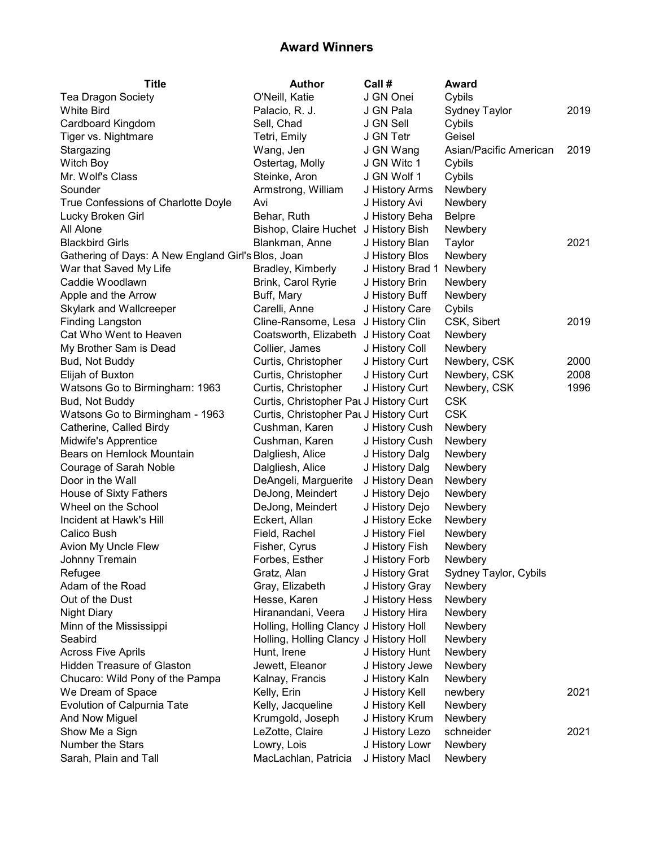| <b>Title</b>                                       | <b>Author</b>                          | Call #           | Award                  |      |
|----------------------------------------------------|----------------------------------------|------------------|------------------------|------|
| Tea Dragon Society                                 | O'Neill, Katie                         | J GN Onei        | Cybils                 |      |
| <b>White Bird</b>                                  | Palacio, R. J.                         | J GN Pala        | <b>Sydney Taylor</b>   | 2019 |
| Cardboard Kingdom                                  | Sell, Chad                             | J GN Sell        | Cybils                 |      |
| Tiger vs. Nightmare                                | Tetri, Emily                           | J GN Tetr        | Geisel                 |      |
| Stargazing                                         | Wang, Jen                              | J GN Wang        | Asian/Pacific American | 2019 |
| Witch Boy                                          | Ostertag, Molly                        | J GN Witc 1      | Cybils                 |      |
| Mr. Wolf's Class                                   | Steinke, Aron                          | J GN Wolf 1      | Cybils                 |      |
| Sounder                                            | Armstrong, William                     | J History Arms   | Newbery                |      |
| True Confessions of Charlotte Doyle                | Avi                                    | J History Avi    | Newbery                |      |
| Lucky Broken Girl                                  | Behar, Ruth                            | J History Beha   | <b>Belpre</b>          |      |
| All Alone                                          | Bishop, Claire Huchet J History Bish   |                  | Newbery                |      |
| <b>Blackbird Girls</b>                             | Blankman, Anne                         | J History Blan   | Taylor                 | 2021 |
| Gathering of Days: A New England Girl's Blos, Joan |                                        | J History Blos   | Newbery                |      |
| War that Saved My Life                             | Bradley, Kimberly                      | J History Brad 1 | Newbery                |      |
| Caddie Woodlawn                                    | Brink, Carol Ryrie                     | J History Brin   | Newbery                |      |
| Apple and the Arrow                                | Buff, Mary                             | J History Buff   | Newbery                |      |
| Skylark and Wallcreeper                            | Carelli, Anne                          | J History Care   | Cybils                 |      |
| <b>Finding Langston</b>                            | Cline-Ransome, Lesa                    | J History Clin   | CSK, Sibert            | 2019 |
| Cat Who Went to Heaven                             | Coatsworth, Elizabeth                  | J History Coat   | Newbery                |      |
| My Brother Sam is Dead                             | Collier, James                         | J History Coll   | Newbery                |      |
| Bud, Not Buddy                                     | Curtis, Christopher                    | J History Curt   | Newbery, CSK           | 2000 |
| Elijah of Buxton                                   | Curtis, Christopher                    | J History Curt   | Newbery, CSK           | 2008 |
| Watsons Go to Birmingham: 1963                     | Curtis, Christopher                    | J History Curt   | Newbery, CSK           | 1996 |
| Bud, Not Buddy                                     | Curtis, Christopher Pat J History Curt |                  | <b>CSK</b>             |      |
| Watsons Go to Birmingham - 1963                    | Curtis, Christopher Pat J History Curt |                  | <b>CSK</b>             |      |
| Catherine, Called Birdy                            | Cushman, Karen                         | J History Cush   | Newbery                |      |
| Midwife's Apprentice                               | Cushman, Karen                         | J History Cush   | Newbery                |      |
| Bears on Hemlock Mountain                          | Dalgliesh, Alice                       | J History Dalg   | Newbery                |      |
| Courage of Sarah Noble                             | Dalgliesh, Alice                       | J History Dalg   | Newbery                |      |
| Door in the Wall                                   | DeAngeli, Marguerite                   | J History Dean   | Newbery                |      |
| House of Sixty Fathers                             | DeJong, Meindert                       | J History Dejo   | Newbery                |      |
| Wheel on the School                                | DeJong, Meindert                       | J History Dejo   | Newbery                |      |
| Incident at Hawk's Hill                            | Eckert, Allan                          | J History Ecke   | Newbery                |      |
| Calico Bush                                        | Field, Rachel                          | J History Fiel   | Newbery                |      |
| Avion My Uncle Flew                                | Fisher, Cyrus                          | J History Fish   | Newbery                |      |
| Johnny Tremain                                     | Forbes, Esther                         | J History Forb   | Newbery                |      |
| Refugee                                            | Gratz, Alan                            | J History Grat   | Sydney Taylor, Cybils  |      |
| Adam of the Road                                   | Gray, Elizabeth                        | J History Gray   | Newbery                |      |
| Out of the Dust                                    | Hesse, Karen                           | J History Hess   | Newbery                |      |
| <b>Night Diary</b>                                 | Hiranandani, Veera                     | J History Hira   | Newbery                |      |
| Minn of the Mississippi                            | Holling, Holling Clancy J History Holl |                  | Newbery                |      |
| Seabird                                            | Holling, Holling Clancy J History Holl |                  | Newbery                |      |
| <b>Across Five Aprils</b>                          | Hunt, Irene                            | J History Hunt   | Newbery                |      |
| <b>Hidden Treasure of Glaston</b>                  | Jewett, Eleanor                        | J History Jewe   | Newbery                |      |
| Chucaro: Wild Pony of the Pampa                    | Kalnay, Francis                        | J History Kaln   | Newbery                |      |
| We Dream of Space                                  | Kelly, Erin                            | J History Kell   | newbery                | 2021 |
| Evolution of Calpurnia Tate                        | Kelly, Jacqueline                      | J History Kell   | Newbery                |      |
| And Now Miguel                                     | Krumgold, Joseph                       | J History Krum   | Newbery                |      |
| Show Me a Sign                                     | LeZotte, Claire                        | J History Lezo   | schneider              | 2021 |
| Number the Stars                                   | Lowry, Lois                            | J History Lowr   | Newbery                |      |
| Sarah, Plain and Tall                              | MacLachlan, Patricia                   | J History Macl   | Newbery                |      |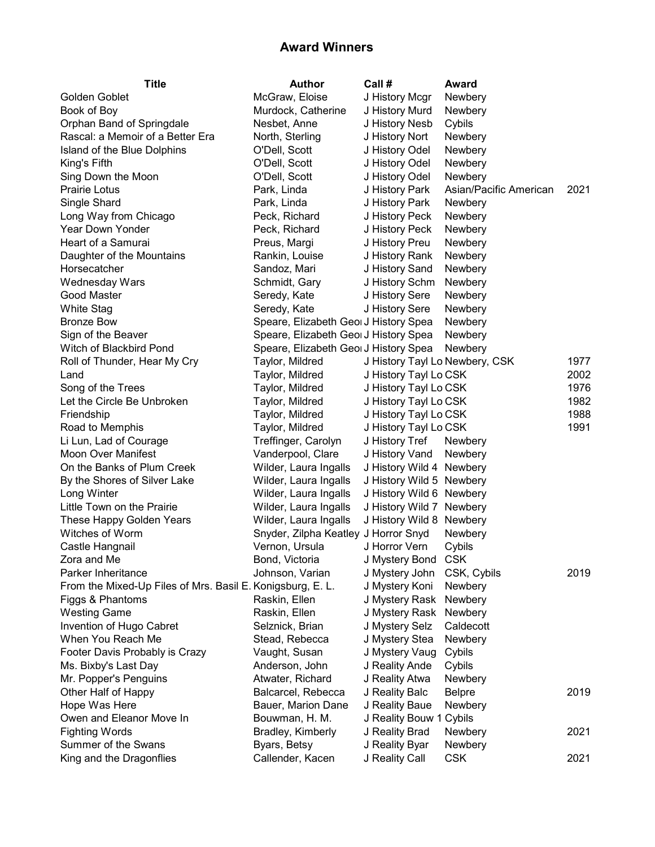| Title                                                      | <b>Author</b>                        | Call #                         | Award                  |      |
|------------------------------------------------------------|--------------------------------------|--------------------------------|------------------------|------|
| Golden Goblet                                              | McGraw, Eloise                       | J History Mcgr                 | Newbery                |      |
| Book of Boy                                                | Murdock, Catherine                   | J History Murd                 | Newbery                |      |
| Orphan Band of Springdale                                  | Nesbet, Anne                         | J History Nesb                 | Cybils                 |      |
| Rascal: a Memoir of a Better Era                           | North, Sterling                      | J History Nort                 | Newbery                |      |
| Island of the Blue Dolphins                                | O'Dell, Scott                        | J History Odel                 | Newbery                |      |
| King's Fifth                                               | O'Dell, Scott                        | J History Odel                 | Newbery                |      |
| Sing Down the Moon                                         | O'Dell, Scott                        | J History Odel                 | Newbery                |      |
| Prairie Lotus                                              | Park, Linda                          | J History Park                 | Asian/Pacific American | 2021 |
| Single Shard                                               | Park, Linda                          | J History Park                 | Newbery                |      |
| Long Way from Chicago                                      | Peck, Richard                        | J History Peck                 | Newbery                |      |
| Year Down Yonder                                           | Peck, Richard                        | J History Peck                 | Newbery                |      |
| Heart of a Samurai                                         | Preus, Margi                         | J History Preu                 | Newbery                |      |
| Daughter of the Mountains                                  | Rankin, Louise                       | J History Rank                 | Newbery                |      |
| Horsecatcher                                               | Sandoz, Mari                         | J History Sand                 | Newbery                |      |
| <b>Wednesday Wars</b>                                      | Schmidt, Gary                        | J History Schm                 | Newbery                |      |
| Good Master                                                | Seredy, Kate                         | J History Sere                 | Newbery                |      |
| <b>White Stag</b>                                          | Seredy, Kate                         | J History Sere                 | Newbery                |      |
| <b>Bronze Bow</b>                                          | Speare, Elizabeth GeorJ History Spea |                                | Newbery                |      |
| Sign of the Beaver                                         | Speare, Elizabeth GeorJ History Spea |                                | Newbery                |      |
| Witch of Blackbird Pond                                    | Speare, Elizabeth GeorJ History Spea |                                | Newbery                |      |
| Roll of Thunder, Hear My Cry                               | Taylor, Mildred                      | J History Tayl Lo Newbery, CSK |                        | 1977 |
| Land                                                       | Taylor, Mildred                      | J History Tayl Lo CSK          |                        | 2002 |
| Song of the Trees                                          | Taylor, Mildred                      | J History Tayl Lo CSK          |                        | 1976 |
| Let the Circle Be Unbroken                                 | Taylor, Mildred                      | J History Tayl Lo CSK          |                        | 1982 |
| Friendship                                                 | Taylor, Mildred                      | J History Tayl Lo CSK          |                        | 1988 |
| Road to Memphis                                            | Taylor, Mildred                      | J History Tayl Lo CSK          |                        | 1991 |
| Li Lun, Lad of Courage                                     | Treffinger, Carolyn                  | J History Tref                 | Newbery                |      |
| <b>Moon Over Manifest</b>                                  | Vanderpool, Clare                    | J History Vand                 | Newbery                |      |
| On the Banks of Plum Creek                                 | Wilder, Laura Ingalls                | J History Wild 4 Newbery       |                        |      |
| By the Shores of Silver Lake                               | Wilder, Laura Ingalls                | J History Wild 5 Newbery       |                        |      |
| Long Winter                                                | Wilder, Laura Ingalls                | J History Wild 6 Newbery       |                        |      |
| Little Town on the Prairie                                 | Wilder, Laura Ingalls                | J History Wild 7 Newbery       |                        |      |
| These Happy Golden Years                                   | Wilder, Laura Ingalls                | J History Wild 8 Newbery       |                        |      |
| Witches of Worm                                            | Snyder, Zilpha Keatley J Horror Snyd |                                | Newbery                |      |
| Castle Hangnail                                            | Vernon, Ursula                       | J Horror Vern                  | Cybils                 |      |
| Zora and Me                                                | Bond, Victoria                       | J Mystery Bond CSK             |                        |      |
| Parker Inheritance                                         | Johnson, Varian                      | J Mystery John                 | CSK, Cybils            | 2019 |
| From the Mixed-Up Files of Mrs. Basil E. Konigsburg, E. L. |                                      | J Mystery Koni                 | Newbery                |      |
| Figgs & Phantoms                                           | Raskin, Ellen                        | J Mystery Rask                 | Newbery                |      |
| <b>Westing Game</b>                                        | Raskin, Ellen                        | J Mystery Rask                 | Newbery                |      |
| Invention of Hugo Cabret                                   | Selznick, Brian                      | J Mystery Selz                 | Caldecott              |      |
| When You Reach Me                                          | Stead, Rebecca                       | J Mystery Stea                 | Newbery                |      |
| Footer Davis Probably is Crazy                             | Vaught, Susan                        | J Mystery Vaug                 | Cybils                 |      |
| Ms. Bixby's Last Day                                       | Anderson, John                       | J Reality Ande                 | Cybils                 |      |
| Mr. Popper's Penguins                                      | Atwater, Richard                     | J Reality Atwa                 | Newbery                |      |
| Other Half of Happy                                        | Balcarcel, Rebecca                   | J Reality Balc                 | <b>Belpre</b>          | 2019 |
| Hope Was Here                                              | Bauer, Marion Dane                   | J Reality Baue                 | Newbery                |      |
| Owen and Eleanor Move In                                   | Bouwman, H. M.                       | J Reality Bouw 1 Cybils        |                        |      |
| <b>Fighting Words</b>                                      | Bradley, Kimberly                    | J Reality Brad                 | Newbery                | 2021 |
| Summer of the Swans                                        | Byars, Betsy                         | J Reality Byar                 | Newbery                |      |
| King and the Dragonflies                                   | Callender, Kacen                     | J Reality Call                 | <b>CSK</b>             | 2021 |
|                                                            |                                      |                                |                        |      |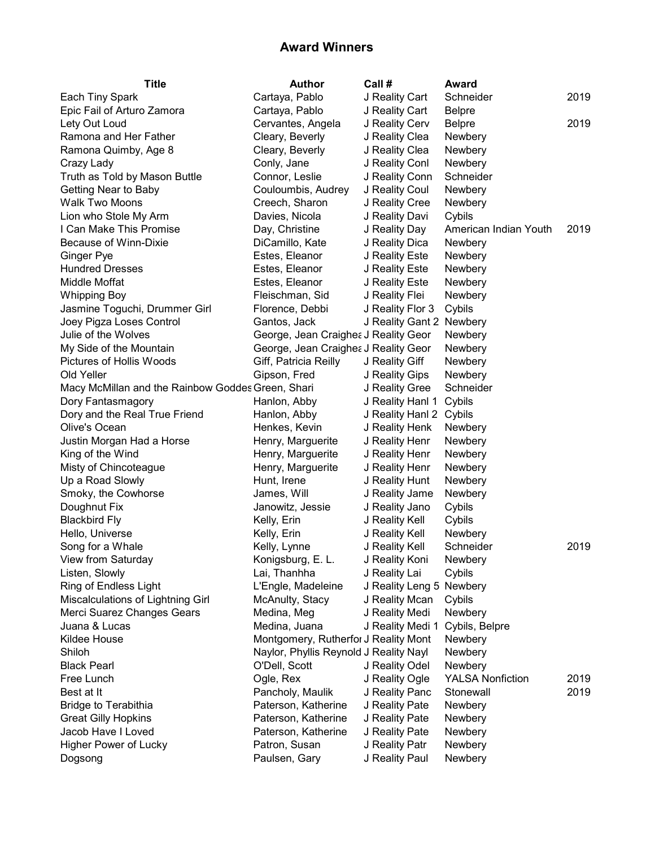| <b>Title</b>                                      | Author                                 | Call#                    | Award                   |      |
|---------------------------------------------------|----------------------------------------|--------------------------|-------------------------|------|
| Each Tiny Spark                                   | Cartaya, Pablo                         | J Reality Cart           | Schneider               | 2019 |
| Epic Fail of Arturo Zamora                        | Cartaya, Pablo                         | J Reality Cart           | <b>Belpre</b>           |      |
| Lety Out Loud                                     | Cervantes, Angela                      | J Reality Cerv           | <b>Belpre</b>           | 2019 |
| Ramona and Her Father                             | Cleary, Beverly                        | J Reality Clea           | Newbery                 |      |
| Ramona Quimby, Age 8                              | Cleary, Beverly                        | J Reality Clea           | Newbery                 |      |
| Crazy Lady                                        | Conly, Jane                            | J Reality Conl           | Newbery                 |      |
| Truth as Told by Mason Buttle                     | Connor, Leslie                         | J Reality Conn           | Schneider               |      |
| Getting Near to Baby                              | Couloumbis, Audrey                     | J Reality Coul           | Newbery                 |      |
| <b>Walk Two Moons</b>                             | Creech, Sharon                         | J Reality Cree           | Newbery                 |      |
| Lion who Stole My Arm                             | Davies, Nicola                         | J Reality Davi           | Cybils                  |      |
| I Can Make This Promise                           | Day, Christine                         | J Reality Day            | American Indian Youth   | 2019 |
| Because of Winn-Dixie                             | DiCamillo, Kate                        | J Reality Dica           | Newbery                 |      |
| Ginger Pye                                        | Estes, Eleanor                         | J Reality Este           | Newbery                 |      |
| <b>Hundred Dresses</b>                            | Estes, Eleanor                         | J Reality Este           | Newbery                 |      |
| Middle Moffat                                     | Estes, Eleanor                         | J Reality Este           | Newbery                 |      |
| <b>Whipping Boy</b>                               | Fleischman, Sid                        | J Reality Flei           | Newbery                 |      |
| Jasmine Toguchi, Drummer Girl                     | Florence, Debbi                        | J Reality Flor 3         | Cybils                  |      |
| Joey Pigza Loses Control                          | Gantos, Jack                           | J Reality Gant 2 Newbery |                         |      |
| Julie of the Wolves                               | George, Jean Craighea J Reality Geor   |                          | Newbery                 |      |
| My Side of the Mountain                           | George, Jean Craighea J Reality Geor   |                          | Newbery                 |      |
| Pictures of Hollis Woods                          | Giff, Patricia Reilly                  | J Reality Giff           | Newbery                 |      |
| Old Yeller                                        | Gipson, Fred                           | J Reality Gips           | Newbery                 |      |
| Macy McMillan and the Rainbow Goddes Green, Shari |                                        | J Reality Gree           | Schneider               |      |
| Dory Fantasmagory                                 | Hanlon, Abby                           | J Reality Hanl 1         | Cybils                  |      |
| Dory and the Real True Friend                     | Hanlon, Abby                           | J Reality Hanl 2         | Cybils                  |      |
| Olive's Ocean                                     | Henkes, Kevin                          | J Reality Henk           | Newbery                 |      |
| Justin Morgan Had a Horse                         | Henry, Marguerite                      | J Reality Henr           | Newbery                 |      |
| King of the Wind                                  | Henry, Marguerite                      | J Reality Henr           | Newbery                 |      |
| Misty of Chincoteague                             | Henry, Marguerite                      | J Reality Henr           | Newbery                 |      |
| Up a Road Slowly                                  | Hunt, Irene                            | J Reality Hunt           | Newbery                 |      |
| Smoky, the Cowhorse                               | James, Will                            | J Reality Jame           | Newbery                 |      |
| Doughnut Fix                                      | Janowitz, Jessie                       | J Reality Jano           | Cybils                  |      |
| <b>Blackbird Fly</b>                              | Kelly, Erin                            | J Reality Kell           | Cybils                  |      |
| Hello, Universe                                   | Kelly, Erin                            | J Reality Kell           | Newbery                 |      |
| Song for a Whale                                  | Kelly, Lynne                           | J Reality Kell           | Schneider               | 2019 |
| View from Saturday                                | Konigsburg, E. L.                      | J Reality Koni           | Newbery                 |      |
| Listen, Slowly                                    | Lai, Thanhha                           | J Reality Lai            | Cybils                  |      |
| Ring of Endless Light                             | L'Engle, Madeleine                     | J Reality Leng 5         | Newbery                 |      |
| Miscalculations of Lightning Girl                 | McAnulty, Stacy                        | J Reality Mcan           | Cybils                  |      |
| Merci Suarez Changes Gears                        | Medina, Meg                            | J Reality Medi           | Newbery                 |      |
| Juana & Lucas                                     | Medina, Juana                          | J Reality Medi 1         | Cybils, Belpre          |      |
| Kildee House                                      | Montgomery, Rutherfor J Reality Mont   |                          | Newbery                 |      |
| Shiloh                                            | Naylor, Phyllis Reynold J Reality Nayl |                          | Newbery                 |      |
| <b>Black Pearl</b>                                | O'Dell, Scott                          | J Reality Odel           | Newbery                 |      |
| Free Lunch                                        | Ogle, Rex                              | J Reality Ogle           | <b>YALSA Nonfiction</b> | 2019 |
| Best at It                                        | Pancholy, Maulik                       | J Reality Panc           | Stonewall               | 2019 |
| <b>Bridge to Terabithia</b>                       | Paterson, Katherine                    | J Reality Pate           | Newbery                 |      |
| <b>Great Gilly Hopkins</b>                        | Paterson, Katherine                    | J Reality Pate           | Newbery                 |      |
| Jacob Have I Loved                                | Paterson, Katherine                    | J Reality Pate           | Newbery                 |      |
| Higher Power of Lucky                             | Patron, Susan                          | J Reality Patr           | Newbery                 |      |
| Dogsong                                           | Paulsen, Gary                          | J Reality Paul           | Newbery                 |      |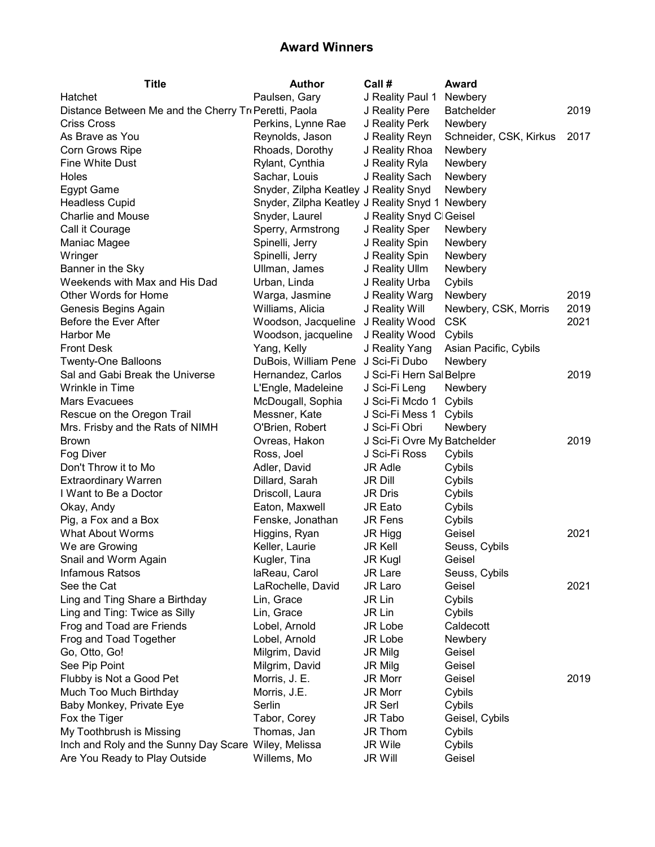| <b>Title</b>                                          | <b>Author</b>                                   | Call #                      | Award                  |      |
|-------------------------------------------------------|-------------------------------------------------|-----------------------------|------------------------|------|
| Hatchet                                               | Paulsen, Gary                                   | J Reality Paul 1            | Newbery                |      |
| Distance Between Me and the Cherry Tri Peretti, Paola |                                                 | J Reality Pere              | <b>Batchelder</b>      | 2019 |
| <b>Criss Cross</b>                                    | Perkins, Lynne Rae                              | J Reality Perk              | Newbery                |      |
| As Brave as You                                       | Reynolds, Jason                                 | J Reality Reyn              | Schneider, CSK, Kirkus | 2017 |
| Corn Grows Ripe                                       | Rhoads, Dorothy                                 | J Reality Rhoa              | Newbery                |      |
| Fine White Dust                                       | Rylant, Cynthia                                 | J Reality Ryla              | Newbery                |      |
| Holes                                                 | Sachar, Louis                                   | J Reality Sach              | Newbery                |      |
| <b>Egypt Game</b>                                     | Snyder, Zilpha Keatley J Reality Snyd           |                             | Newbery                |      |
| <b>Headless Cupid</b>                                 | Snyder, Zilpha Keatley J Reality Snyd 1 Newbery |                             |                        |      |
| <b>Charlie and Mouse</b>                              | Snyder, Laurel                                  | J Reality Snyd Cl Geisel    |                        |      |
| Call it Courage                                       | Sperry, Armstrong                               | J Reality Sper              | Newbery                |      |
| Maniac Magee                                          | Spinelli, Jerry                                 | J Reality Spin              | Newbery                |      |
| Wringer                                               | Spinelli, Jerry                                 | J Reality Spin              | Newbery                |      |
| Banner in the Sky                                     | Ullman, James                                   | J Reality Ullm              | Newbery                |      |
| Weekends with Max and His Dad                         | Urban, Linda                                    | J Reality Urba              | Cybils                 |      |
| Other Words for Home                                  | Warga, Jasmine                                  | J Reality Warg              | Newbery                | 2019 |
| Genesis Begins Again                                  | Williams, Alicia                                | J Reality Will              | Newbery, CSK, Morris   | 2019 |
| Before the Ever After                                 | Woodson, Jacqueline                             | J Reality Wood              | <b>CSK</b>             | 2021 |
| Harbor Me                                             | Woodson, jacqueline                             | J Reality Wood              | Cybils                 |      |
| <b>Front Desk</b>                                     | Yang, Kelly                                     | J Reality Yang              | Asian Pacific, Cybils  |      |
| <b>Twenty-One Balloons</b>                            | DuBois, William Pene                            | J Sci-Fi Dubo               | <b>Newbery</b>         |      |
| Sal and Gabi Break the Universe                       | Hernandez, Carlos                               | J Sci-Fi Hern Sal Belpre    |                        | 2019 |
| Wrinkle in Time                                       | L'Engle, Madeleine                              | J Sci-Fi Leng               | Newbery                |      |
| Mars Evacuees                                         | McDougall, Sophia                               | J Sci-Fi Mcdo 1             | Cybils                 |      |
| Rescue on the Oregon Trail                            | Messner, Kate                                   | J Sci-Fi Mess 1             | Cybils                 |      |
| Mrs. Frisby and the Rats of NIMH                      | O'Brien, Robert                                 | J Sci-Fi Obri               | Newbery                |      |
| <b>Brown</b>                                          | Ovreas, Hakon                                   | J Sci-Fi Ovre My Batchelder |                        | 2019 |
| Fog Diver                                             | Ross, Joel                                      | J Sci-Fi Ross               | Cybils                 |      |
| Don't Throw it to Mo                                  | Adler, David                                    | <b>JR Adle</b>              | Cybils                 |      |
| <b>Extraordinary Warren</b>                           | Dillard, Sarah                                  | <b>JR Dill</b>              | Cybils                 |      |
| I Want to Be a Doctor                                 | Driscoll, Laura                                 | <b>JR Dris</b>              | Cybils                 |      |
| Okay, Andy                                            | Eaton, Maxwell                                  | JR Eato                     | Cybils                 |      |
| Pig, a Fox and a Box                                  | Fenske, Jonathan                                | <b>JR Fens</b>              | Cybils                 |      |
| <b>What About Worms</b>                               | Higgins, Ryan                                   | JR Higg                     | Geisel                 | 2021 |
| We are Growing                                        | Keller, Laurie                                  | <b>JR Kell</b>              | Seuss, Cybils          |      |
| Snail and Worm Again                                  | Kugler, Tina                                    | <b>JR Kugl</b>              | Geisel                 |      |
| Infamous Ratsos                                       | laReau, Carol                                   | <b>JR Lare</b>              | Seuss, Cybils          |      |
| See the Cat                                           | LaRochelle, David                               | JR Laro                     | Geisel                 | 2021 |
| Ling and Ting Share a Birthday                        | Lin, Grace                                      | JR Lin                      | Cybils                 |      |
| Ling and Ting: Twice as Silly                         | Lin, Grace                                      | JR Lin                      | Cybils                 |      |
| Frog and Toad are Friends                             | Lobel, Arnold                                   | JR Lobe                     | Caldecott              |      |
| Frog and Toad Together                                | Lobel, Arnold                                   | JR Lobe                     | Newbery                |      |
| Go, Otto, Go!                                         | Milgrim, David                                  | JR Milg                     | Geisel                 |      |
| See Pip Point                                         | Milgrim, David                                  | JR Milg                     | Geisel                 |      |
| Flubby is Not a Good Pet                              | Morris, J. E.                                   | JR Morr                     | Geisel                 | 2019 |
| Much Too Much Birthday                                | Morris, J.E.                                    | JR Morr                     | Cybils                 |      |
| Baby Monkey, Private Eye                              | Serlin                                          | <b>JR Serl</b>              | Cybils                 |      |
| Fox the Tiger                                         | Tabor, Corey                                    | JR Tabo                     | Geisel, Cybils         |      |
| My Toothbrush is Missing                              | Thomas, Jan                                     | JR Thom                     | Cybils                 |      |
| Inch and Roly and the Sunny Day Scare Wiley, Melissa  |                                                 | <b>JR Wile</b>              |                        |      |
| Are You Ready to Play Outside                         | Willems, Mo                                     | <b>JR Will</b>              | Cybils<br>Geisel       |      |
|                                                       |                                                 |                             |                        |      |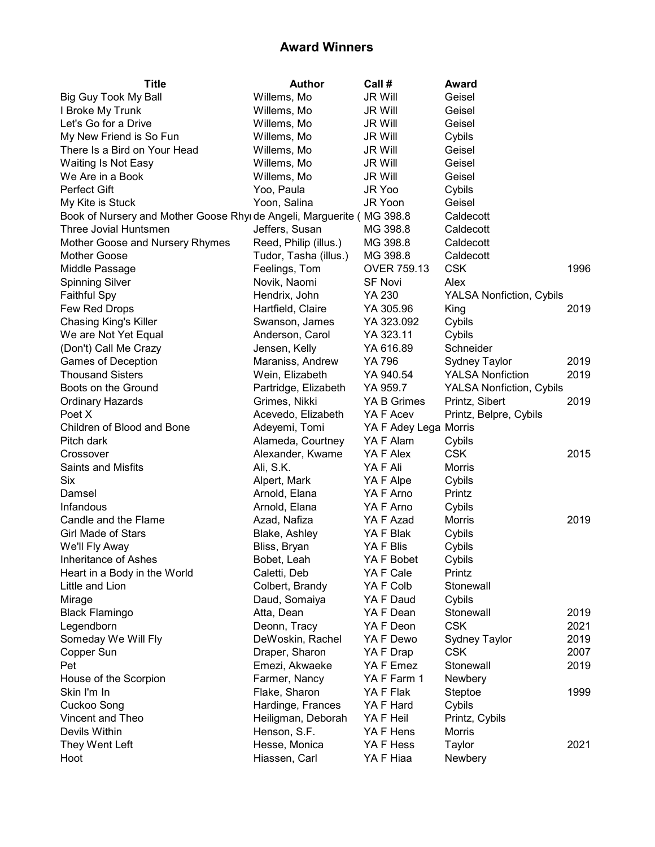| <b>Title</b>                                                            | <b>Author</b>         | Call #                | Award                           |      |
|-------------------------------------------------------------------------|-----------------------|-----------------------|---------------------------------|------|
| <b>Big Guy Took My Ball</b>                                             | Willems, Mo           | <b>JR Will</b>        | Geisel                          |      |
| I Broke My Trunk                                                        | Willems, Mo           | <b>JR Will</b>        | Geisel                          |      |
| Let's Go for a Drive                                                    | Willems, Mo           | <b>JR Will</b>        | Geisel                          |      |
| My New Friend is So Fun                                                 | Willems, Mo           | <b>JR Will</b>        | Cybils                          |      |
| There Is a Bird on Your Head                                            | Willems, Mo           | <b>JR Will</b>        | Geisel                          |      |
| Waiting Is Not Easy                                                     | Willems, Mo           | <b>JR Will</b>        | Geisel                          |      |
| We Are in a Book                                                        | Willems, Mo           | <b>JR Will</b>        | Geisel                          |      |
| Perfect Gift                                                            | Yoo, Paula            | JR Yoo                | Cybils                          |      |
| My Kite is Stuck                                                        | Yoon, Salina          | JR Yoon               | Geisel                          |      |
| Book of Nursery and Mother Goose Rhyi de Angeli, Marguerite (iMG 398.8) |                       |                       | Caldecott                       |      |
| Three Jovial Huntsmen                                                   | Jeffers, Susan        | MG 398.8              | Caldecott                       |      |
| Mother Goose and Nursery Rhymes                                         | Reed, Philip (illus.) | MG 398.8              | Caldecott                       |      |
| Mother Goose                                                            | Tudor, Tasha (illus.) | MG 398.8              | Caldecott                       |      |
| Middle Passage                                                          | Feelings, Tom         | OVER 759.13           | <b>CSK</b>                      | 1996 |
| <b>Spinning Silver</b>                                                  | Novik, Naomi          | <b>SF Novi</b>        | Alex                            |      |
| <b>Faithful Spy</b>                                                     | Hendrix, John         | YA 230                | <b>YALSA Nonfiction, Cybils</b> |      |
| Few Red Drops                                                           | Hartfield, Claire     | YA 305.96             | King                            | 2019 |
| Chasing King's Killer                                                   | Swanson, James        | YA 323.092            | Cybils                          |      |
| We are Not Yet Equal                                                    | Anderson, Carol       | YA 323.11             | Cybils                          |      |
| (Don't) Call Me Crazy                                                   | Jensen, Kelly         | YA 616.89             | Schneider                       |      |
| <b>Games of Deception</b>                                               | Maraniss, Andrew      | YA 796                | Sydney Taylor                   | 2019 |
| <b>Thousand Sisters</b>                                                 | Wein, Elizabeth       | YA 940.54             | <b>YALSA Nonfiction</b>         | 2019 |
| Boots on the Ground                                                     | Partridge, Elizabeth  | YA 959.7              | <b>YALSA Nonfiction, Cybils</b> |      |
| <b>Ordinary Hazards</b>                                                 | Grimes, Nikki         | YA B Grimes           | Printz, Sibert                  | 2019 |
| Poet X                                                                  | Acevedo, Elizabeth    | YA F Acev             | Printz, Belpre, Cybils          |      |
| Children of Blood and Bone                                              | Adeyemi, Tomi         | YA F Adey Lega Morris |                                 |      |
| Pitch dark                                                              | Alameda, Courtney     | YA F Alam             | Cybils                          |      |
| Crossover                                                               | Alexander, Kwame      | YA F Alex             | <b>CSK</b>                      | 2015 |
| Saints and Misfits                                                      | Ali, S.K.             | YA F Ali              | Morris                          |      |
| <b>Six</b>                                                              | Alpert, Mark          | YA F Alpe             | Cybils                          |      |
| Damsel                                                                  | Arnold, Elana         | YA F Arno             | Printz                          |      |
| Infandous                                                               | Arnold, Elana         | YA F Arno             | Cybils                          |      |
| Candle and the Flame                                                    | Azad, Nafiza          | YA F Azad             | <b>Morris</b>                   | 2019 |
| <b>Girl Made of Stars</b>                                               | Blake, Ashley         | YA F Blak             | Cybils                          |      |
| We'll Fly Away                                                          | Bliss, Bryan          | YA F Blis             | Cybils                          |      |
| Inheritance of Ashes                                                    | Bobet, Leah           | YA F Bobet            | Cybils                          |      |
| Heart in a Body in the World                                            | Caletti, Deb          | YA F Cale             | Printz                          |      |
| Little and Lion                                                         | Colbert, Brandy       | YA F Colb             | Stonewall                       |      |
| Mirage                                                                  | Daud, Somaiya         | YA F Daud             | Cybils                          |      |
| <b>Black Flamingo</b>                                                   | Atta, Dean            | YA F Dean             | Stonewall                       | 2019 |
| Legendborn                                                              | Deonn, Tracy          | YA F Deon             | <b>CSK</b>                      | 2021 |
| Someday We Will Fly                                                     | DeWoskin, Rachel      | YA F Dewo             | <b>Sydney Taylor</b>            | 2019 |
| Copper Sun                                                              | Draper, Sharon        | YA F Drap             | <b>CSK</b>                      | 2007 |
| Pet                                                                     | Emezi, Akwaeke        | YA F Emez             | Stonewall                       | 2019 |
| House of the Scorpion                                                   | Farmer, Nancy         | YA F Farm 1           | Newbery                         |      |
| Skin I'm In                                                             | Flake, Sharon         | YA F Flak             | Steptoe                         | 1999 |
| Cuckoo Song                                                             | Hardinge, Frances     | YA F Hard             | Cybils                          |      |
| Vincent and Theo                                                        | Heiligman, Deborah    | YA F Heil             | Printz, Cybils                  |      |
| Devils Within                                                           | Henson, S.F.          | YA F Hens             | Morris                          |      |
| They Went Left                                                          | Hesse, Monica         | YA F Hess             | Taylor                          | 2021 |
| Hoot                                                                    | Hiassen, Carl         | YA F Hiaa             | Newbery                         |      |
|                                                                         |                       |                       |                                 |      |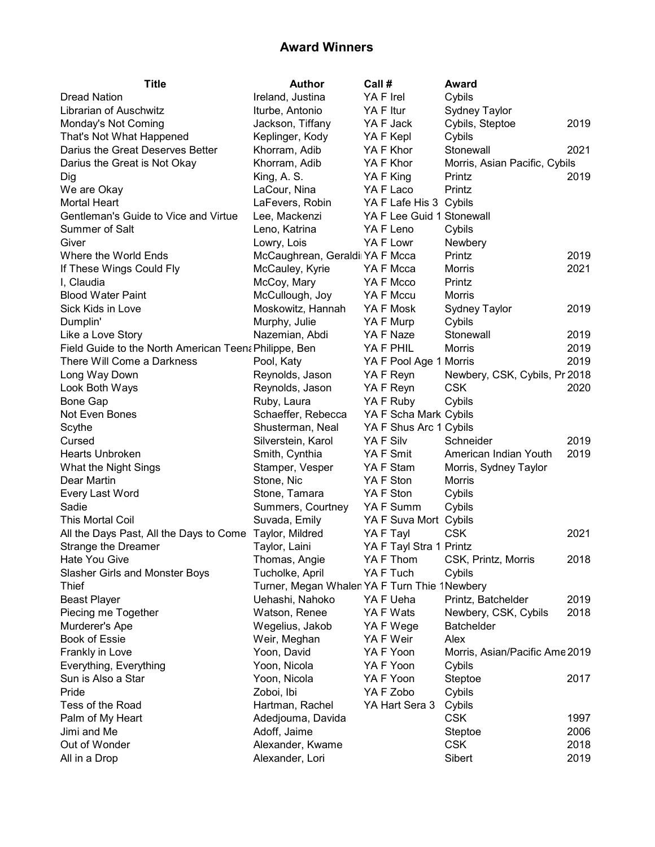| <b>Title</b>                                            | <b>Author</b>                                 | Call #                    | Award                          |      |
|---------------------------------------------------------|-----------------------------------------------|---------------------------|--------------------------------|------|
| <b>Dread Nation</b>                                     | Ireland, Justina                              | YA F Irel                 | Cybils                         |      |
| Librarian of Auschwitz                                  | Iturbe, Antonio                               | YA F Itur                 | <b>Sydney Taylor</b>           |      |
| Monday's Not Coming                                     | Jackson, Tiffany                              | YA F Jack                 | Cybils, Steptoe                | 2019 |
| That's Not What Happened                                | Keplinger, Kody                               | YA F Kepl                 | Cybils                         |      |
| Darius the Great Deserves Better                        | Khorram, Adib                                 | YA F Khor                 | Stonewall                      | 2021 |
| Darius the Great is Not Okay                            | Khorram, Adib                                 | YA F Khor                 | Morris, Asian Pacific, Cybils  |      |
| Dig                                                     | King, A. S.                                   | YA F King                 | Printz                         | 2019 |
| We are Okay                                             | LaCour, Nina                                  | YA F Laco                 | Printz                         |      |
| <b>Mortal Heart</b>                                     | LaFevers, Robin                               | YA F Lafe His 3 Cybils    |                                |      |
| Gentleman's Guide to Vice and Virtue                    | Lee, Mackenzi                                 | YA F Lee Guid 1 Stonewall |                                |      |
| Summer of Salt                                          | Leno, Katrina                                 | YA F Leno                 | Cybils                         |      |
| Giver                                                   | Lowry, Lois                                   | YA F Lowr                 | Newbery                        |      |
| Where the World Ends                                    | McCaughrean, Geraldi YA F Mcca                |                           | Printz                         | 2019 |
| If These Wings Could Fly                                | McCauley, Kyrie                               | YA F Mcca                 | Morris                         | 2021 |
| I, Claudia                                              | McCoy, Mary                                   | YA F Mcco                 | Printz                         |      |
| <b>Blood Water Paint</b>                                | McCullough, Joy                               | YA F Mccu                 | <b>Morris</b>                  |      |
| Sick Kids in Love                                       | Moskowitz, Hannah                             | YA F Mosk                 | Sydney Taylor                  | 2019 |
| Dumplin'                                                | Murphy, Julie                                 | YA F Murp                 | Cybils                         |      |
| Like a Love Story                                       | Nazemian, Abdi                                | YA F Naze                 | Stonewall                      | 2019 |
| Field Guide to the North American Teen  Philippe, Ben   |                                               | YA F PHIL                 | <b>Morris</b>                  | 2019 |
| There Will Come a Darkness                              | Pool, Katy                                    | YA F Pool Age 1 Morris    |                                | 2019 |
| Long Way Down                                           | Reynolds, Jason                               | YA F Reyn                 | Newbery, CSK, Cybils, Pr 2018  |      |
| Look Both Ways                                          | Reynolds, Jason                               | YA F Reyn                 | <b>CSK</b>                     | 2020 |
| <b>Bone Gap</b>                                         | Ruby, Laura                                   | YA F Ruby                 | Cybils                         |      |
| Not Even Bones                                          | Schaeffer, Rebecca                            | YA F Scha Mark Cybils     |                                |      |
| Scythe                                                  | Shusterman, Neal                              | YA F Shus Arc 1 Cybils    |                                |      |
| Cursed                                                  | Silverstein, Karol                            | YA F Silv                 | Schneider                      | 2019 |
| <b>Hearts Unbroken</b>                                  | Smith, Cynthia                                | YA F Smit                 | American Indian Youth          | 2019 |
| What the Night Sings                                    | Stamper, Vesper                               | YA F Stam                 | Morris, Sydney Taylor          |      |
| Dear Martin                                             | Stone, Nic                                    | YA F Ston                 | Morris                         |      |
| Every Last Word                                         | Stone, Tamara                                 | YA F Ston                 | Cybils                         |      |
| Sadie                                                   | Summers, Courtney                             | YA F Summ                 | Cybils                         |      |
| This Mortal Coil                                        | Suvada, Emily                                 | YA F Suva Mort Cybils     |                                |      |
| All the Days Past, All the Days to Come Taylor, Mildred |                                               | YA F Tayl                 | <b>CSK</b>                     | 2021 |
| Strange the Dreamer                                     | Taylor, Laini                                 | YA F Tayl Stra 1 Printz   |                                |      |
| Hate You Give                                           | Thomas, Angie                                 | YA F Thom                 | CSK, Printz, Morris            | 2018 |
| Slasher Girls and Monster Boys                          | Tucholke, April                               | YA F Tuch                 | Cybils                         |      |
| <b>Thief</b>                                            | Turner, Megan Whalen YA F Turn Thie 1 Newbery |                           |                                |      |
| <b>Beast Player</b>                                     | Uehashi, Nahoko                               | YA F Ueha                 | Printz, Batchelder             | 2019 |
| Piecing me Together                                     | Watson, Renee                                 | YA F Wats                 | Newbery, CSK, Cybils           | 2018 |
| Murderer's Ape                                          | Wegelius, Jakob                               | YA F Wege                 | <b>Batchelder</b>              |      |
| <b>Book of Essie</b>                                    | Weir, Meghan                                  | YA F Weir                 | Alex                           |      |
| Frankly in Love                                         | Yoon, David                                   | YA F Yoon                 | Morris, Asian/Pacific Ame 2019 |      |
| Everything, Everything                                  | Yoon, Nicola                                  | YA F Yoon                 | Cybils                         |      |
| Sun is Also a Star                                      | Yoon, Nicola                                  | YA F Yoon                 | Steptoe                        | 2017 |
| Pride                                                   | Zoboi, Ibi                                    | YA F Zobo                 | Cybils                         |      |
| Tess of the Road                                        | Hartman, Rachel                               | YA Hart Sera 3            | Cybils                         |      |
|                                                         | Adedjouma, Davida                             |                           | <b>CSK</b>                     | 1997 |
| Palm of My Heart<br>Jimi and Me                         | Adoff, Jaime                                  |                           |                                | 2006 |
| Out of Wonder                                           | Alexander, Kwame                              |                           | Steptoe<br><b>CSK</b>          | 2018 |
|                                                         |                                               |                           |                                |      |
| All in a Drop                                           | Alexander, Lori                               |                           | Sibert                         | 2019 |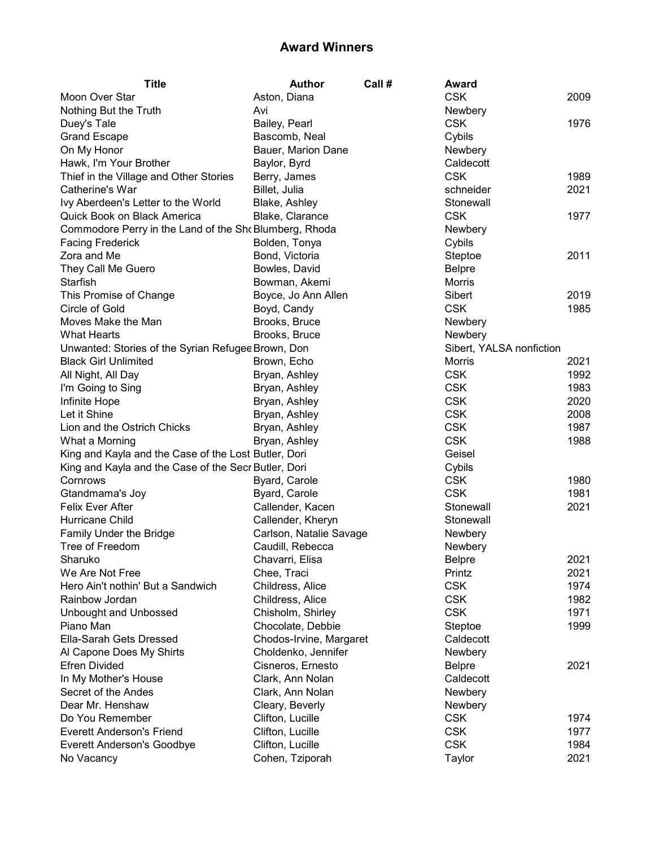| <b>Title</b>                                           | <b>Author</b>           | Call # | Award                    |      |
|--------------------------------------------------------|-------------------------|--------|--------------------------|------|
| Moon Over Star                                         | Aston, Diana            |        | <b>CSK</b>               | 2009 |
| Nothing But the Truth                                  | Avi                     |        | Newbery                  |      |
| Duey's Tale                                            | Bailey, Pearl           |        | <b>CSK</b>               | 1976 |
| <b>Grand Escape</b>                                    | Bascomb, Neal           |        | Cybils                   |      |
| On My Honor                                            | Bauer, Marion Dane      |        | Newbery                  |      |
| Hawk, I'm Your Brother                                 | Baylor, Byrd            |        | Caldecott                |      |
| Thief in the Village and Other Stories                 | Berry, James            |        | <b>CSK</b>               | 1989 |
| Catherine's War                                        | Billet, Julia           |        | schneider                | 2021 |
| Ivy Aberdeen's Letter to the World                     | Blake, Ashley           |        | Stonewall                |      |
| Quick Book on Black America                            | Blake, Clarance         |        | <b>CSK</b>               | 1977 |
| Commodore Perry in the Land of the Sho Blumberg, Rhoda |                         |        | Newbery                  |      |
| <b>Facing Frederick</b>                                | Bolden, Tonya           |        | Cybils                   |      |
| Zora and Me                                            | Bond, Victoria          |        | Steptoe                  | 2011 |
| They Call Me Guero                                     | Bowles, David           |        | <b>Belpre</b>            |      |
| Starfish                                               | Bowman, Akemi           |        | Morris                   |      |
| This Promise of Change                                 | Boyce, Jo Ann Allen     |        | Sibert                   | 2019 |
| Circle of Gold                                         | Boyd, Candy             |        | <b>CSK</b>               | 1985 |
| Moves Make the Man                                     | Brooks, Bruce           |        | Newbery                  |      |
| <b>What Hearts</b>                                     | Brooks, Bruce           |        | Newbery                  |      |
| Unwanted: Stories of the Syrian Refugee Brown, Don     |                         |        | Sibert, YALSA nonfiction |      |
| <b>Black Girl Unlimited</b>                            | Brown, Echo             |        | Morris                   | 2021 |
| All Night, All Day                                     | Bryan, Ashley           |        | <b>CSK</b>               | 1992 |
| I'm Going to Sing                                      | Bryan, Ashley           |        | <b>CSK</b>               | 1983 |
| Infinite Hope                                          | Bryan, Ashley           |        | <b>CSK</b>               | 2020 |
| Let it Shine                                           | Bryan, Ashley           |        | <b>CSK</b>               | 2008 |
| Lion and the Ostrich Chicks                            | Bryan, Ashley           |        | <b>CSK</b>               | 1987 |
| What a Morning                                         | Bryan, Ashley           |        | <b>CSK</b>               | 1988 |
| King and Kayla and the Case of the Lost Butler, Dori   |                         |        | Geisel                   |      |
| King and Kayla and the Case of the Secr Butler, Dori   |                         |        | Cybils                   |      |
| Cornrows                                               | Byard, Carole           |        | <b>CSK</b>               | 1980 |
| Gtandmama's Joy                                        | Byard, Carole           |        | <b>CSK</b>               | 1981 |
| Felix Ever After                                       | Callender, Kacen        |        | Stonewall                | 2021 |
| <b>Hurricane Child</b>                                 | Callender, Kheryn       |        | Stonewall                |      |
| Family Under the Bridge                                | Carlson, Natalie Savage |        | Newbery                  |      |
| Tree of Freedom                                        | Caudill, Rebecca        |        | Newbery                  |      |
| Sharuko                                                | Chavarri, Elisa         |        | <b>Belpre</b>            | 2021 |
| We Are Not Free                                        | Chee, Traci             |        | Printz                   | 2021 |
| Hero Ain't nothin' But a Sandwich                      | Childress, Alice        |        | <b>CSK</b>               | 1974 |
| Rainbow Jordan                                         | Childress, Alice        |        | <b>CSK</b>               | 1982 |
| Unbought and Unbossed                                  | Chisholm, Shirley       |        | <b>CSK</b>               | 1971 |
| Piano Man                                              |                         |        |                          | 1999 |
| Ella-Sarah Gets Dressed                                | Chocolate, Debbie       |        | Steptoe<br>Caldecott     |      |
|                                                        | Chodos-Irvine, Margaret |        |                          |      |
| Al Capone Does My Shirts                               | Choldenko, Jennifer     |        | Newbery                  |      |
| <b>Efren Divided</b>                                   | Cisneros, Ernesto       |        | <b>Belpre</b>            | 2021 |
| In My Mother's House                                   | Clark, Ann Nolan        |        | Caldecott                |      |
| Secret of the Andes                                    | Clark, Ann Nolan        |        | Newbery                  |      |
| Dear Mr. Henshaw                                       | Cleary, Beverly         |        | Newbery                  |      |
| Do You Remember                                        | Clifton, Lucille        |        | <b>CSK</b>               | 1974 |
| <b>Everett Anderson's Friend</b>                       | Clifton, Lucille        |        | <b>CSK</b>               | 1977 |
| <b>Everett Anderson's Goodbye</b>                      | Clifton, Lucille        |        | <b>CSK</b>               | 1984 |
| No Vacancy                                             | Cohen, Tziporah         |        | Taylor                   | 2021 |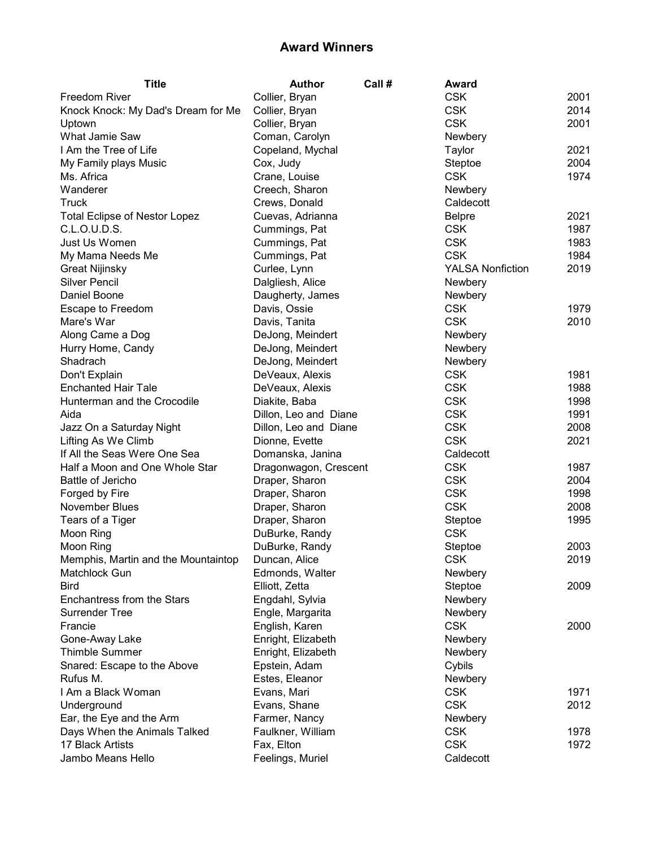| <b>Title</b>                                     | <b>Author</b>         | Call # | Award                   |      |
|--------------------------------------------------|-----------------------|--------|-------------------------|------|
| Freedom River                                    | Collier, Bryan        |        | <b>CSK</b>              | 2001 |
| Knock Knock: My Dad's Dream for Me               | Collier, Bryan        |        | <b>CSK</b>              | 2014 |
| Uptown                                           | Collier, Bryan        |        | <b>CSK</b>              | 2001 |
| What Jamie Saw                                   | Coman, Carolyn        |        | Newbery                 |      |
| I Am the Tree of Life                            | Copeland, Mychal      |        | Taylor                  | 2021 |
| My Family plays Music                            | Cox, Judy             |        | Steptoe                 | 2004 |
| Ms. Africa                                       | Crane, Louise         |        | <b>CSK</b>              | 1974 |
| Wanderer                                         | Creech, Sharon        |        | Newbery                 |      |
| Truck                                            | Crews, Donald         |        | Caldecott               |      |
| <b>Total Eclipse of Nestor Lopez</b>             | Cuevas, Adrianna      |        | <b>Belpre</b>           | 2021 |
| C.L.O.U.D.S.                                     | Cummings, Pat         |        | <b>CSK</b>              | 1987 |
| Just Us Women                                    | Cummings, Pat         |        | <b>CSK</b>              | 1983 |
| My Mama Needs Me                                 | Cummings, Pat         |        | <b>CSK</b>              | 1984 |
| <b>Great Nijinsky</b>                            | Curlee, Lynn          |        | <b>YALSA Nonfiction</b> | 2019 |
| <b>Silver Pencil</b>                             | Dalgliesh, Alice      |        | Newbery                 |      |
| Daniel Boone                                     | Daugherty, James      |        | Newbery                 |      |
| Escape to Freedom                                | Davis, Ossie          |        | <b>CSK</b>              | 1979 |
| Mare's War                                       | Davis, Tanita         |        | <b>CSK</b>              | 2010 |
| Along Came a Dog                                 | DeJong, Meindert      |        | Newbery                 |      |
| Hurry Home, Candy                                | DeJong, Meindert      |        | Newbery                 |      |
| Shadrach                                         | DeJong, Meindert      |        | Newbery                 |      |
| Don't Explain                                    | DeVeaux, Alexis       |        | <b>CSK</b>              | 1981 |
| <b>Enchanted Hair Tale</b>                       | DeVeaux, Alexis       |        | <b>CSK</b>              | 1988 |
| Hunterman and the Crocodile                      | Diakite, Baba         |        | <b>CSK</b>              | 1998 |
| Aida                                             | Dillon, Leo and Diane |        | <b>CSK</b>              | 1991 |
| Jazz On a Saturday Night                         | Dillon, Leo and Diane |        | <b>CSK</b>              | 2008 |
| Lifting As We Climb                              | Dionne, Evette        |        | <b>CSK</b>              | 2021 |
| If All the Seas Were One Sea                     | Domanska, Janina      |        | Caldecott               |      |
| Half a Moon and One Whole Star                   | Dragonwagon, Crescent |        | <b>CSK</b>              | 1987 |
| Battle of Jericho                                | Draper, Sharon        |        | <b>CSK</b>              | 2004 |
| Forged by Fire                                   | Draper, Sharon        |        | <b>CSK</b>              | 1998 |
| November Blues                                   | Draper, Sharon        |        | <b>CSK</b>              | 2008 |
| Tears of a Tiger                                 | Draper, Sharon        |        | Steptoe                 | 1995 |
| Moon Ring                                        | DuBurke, Randy        |        | <b>CSK</b>              |      |
| Moon Ring                                        | DuBurke, Randy        |        | Steptoe                 | 2003 |
| Memphis, Martin and the Mountaintop              | Duncan, Alice         |        | <b>CSK</b>              | 2019 |
| Matchlock Gun                                    | Edmonds, Walter       |        | Newbery                 |      |
| <b>Bird</b>                                      | Elliott, Zetta        |        | Steptoe                 | 2009 |
| <b>Enchantress from the Stars</b>                | Engdahl, Sylvia       |        | Newbery                 |      |
| <b>Surrender Tree</b>                            | Engle, Margarita      |        | Newbery                 |      |
| Francie                                          | English, Karen        |        | <b>CSK</b>              | 2000 |
| Gone-Away Lake                                   | Enright, Elizabeth    |        | Newbery                 |      |
| <b>Thimble Summer</b>                            | Enright, Elizabeth    |        | Newbery                 |      |
| Snared: Escape to the Above                      | Epstein, Adam         |        | Cybils                  |      |
| Rufus M.                                         | Estes, Eleanor        |        | Newbery                 |      |
| I Am a Black Woman                               | Evans, Mari           |        | <b>CSK</b>              | 1971 |
|                                                  |                       |        | <b>CSK</b>              | 2012 |
| Underground                                      | Evans, Shane          |        |                         |      |
| Ear, the Eye and the Arm                         | Farmer, Nancy         |        | Newbery<br><b>CSK</b>   | 1978 |
| Days When the Animals Talked<br>17 Black Artists | Faulkner, William     |        | <b>CSK</b>              |      |
|                                                  | Fax, Elton            |        |                         | 1972 |
| Jambo Means Hello                                | Feelings, Muriel      |        | Caldecott               |      |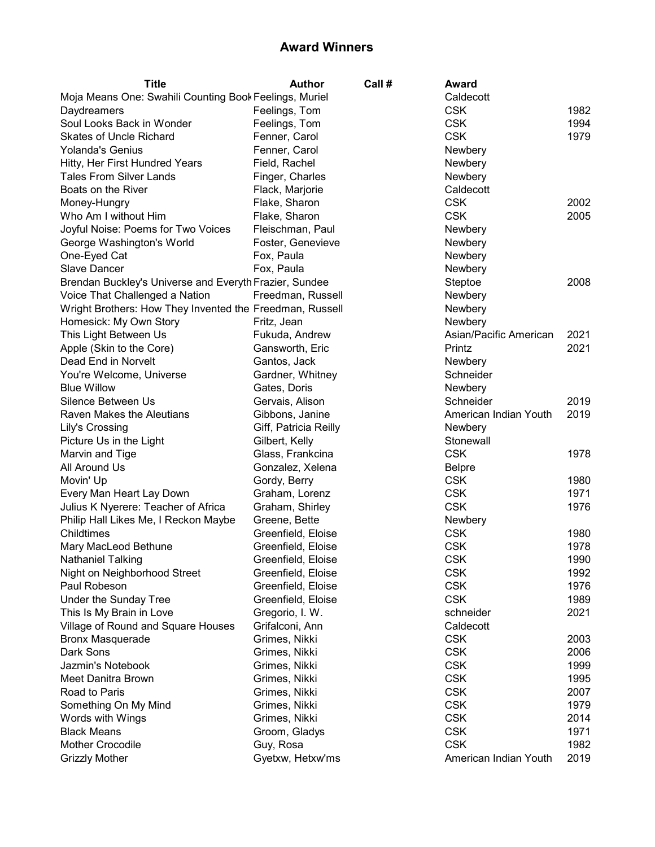| <b>Title</b>                                             | <b>Author</b>         | Call # | Award                    |      |
|----------------------------------------------------------|-----------------------|--------|--------------------------|------|
| Moja Means One: Swahili Counting Book Feelings, Muriel   |                       |        | Caldecott                |      |
| Daydreamers                                              | Feelings, Tom         |        | <b>CSK</b>               | 1982 |
| Soul Looks Back in Wonder                                | Feelings, Tom         |        | <b>CSK</b>               | 1994 |
| <b>Skates of Uncle Richard</b>                           | Fenner, Carol         |        | <b>CSK</b>               | 1979 |
| <b>Yolanda's Genius</b>                                  | Fenner, Carol         |        | Newbery                  |      |
| Hitty, Her First Hundred Years                           | Field, Rachel         |        | Newbery                  |      |
| <b>Tales From Silver Lands</b>                           | Finger, Charles       |        | Newbery                  |      |
| Boats on the River                                       | Flack, Marjorie       |        | Caldecott                |      |
| Money-Hungry                                             | Flake, Sharon         |        | <b>CSK</b>               | 2002 |
| Who Am I without Him                                     | Flake, Sharon         |        | <b>CSK</b>               | 2005 |
| Joyful Noise: Poems for Two Voices                       | Fleischman, Paul      |        | Newbery                  |      |
| George Washington's World                                | Foster, Genevieve     |        | Newbery                  |      |
| One-Eyed Cat                                             | Fox, Paula            |        | Newbery                  |      |
| <b>Slave Dancer</b>                                      | Fox, Paula            |        | Newbery                  |      |
| Brendan Buckley's Universe and Everyth Frazier, Sundee   |                       |        | Steptoe                  | 2008 |
| Voice That Challenged a Nation                           | Freedman, Russell     |        | Newbery                  |      |
| Wright Brothers: How They Invented the Freedman, Russell |                       |        | Newbery                  |      |
| Homesick: My Own Story                                   | Fritz, Jean           |        | Newbery                  |      |
| This Light Between Us                                    | Fukuda, Andrew        |        | Asian/Pacific American   | 2021 |
| Apple (Skin to the Core)                                 | Gansworth, Eric       |        | Printz                   | 2021 |
| Dead End in Norvelt                                      | Gantos, Jack          |        | Newbery                  |      |
| You're Welcome, Universe                                 | Gardner, Whitney      |        | Schneider                |      |
| <b>Blue Willow</b>                                       | Gates, Doris          |        | Newbery                  |      |
| Silence Between Us                                       | Gervais, Alison       |        | Schneider                | 2019 |
| Raven Makes the Aleutians                                | Gibbons, Janine       |        | American Indian Youth    | 2019 |
| Lily's Crossing                                          | Giff, Patricia Reilly |        | Newbery                  |      |
| Picture Us in the Light                                  | Gilbert, Kelly        |        | Stonewall                |      |
| Marvin and Tige                                          | Glass, Frankcina      |        | <b>CSK</b>               | 1978 |
| All Around Us                                            | Gonzalez, Xelena      |        | <b>Belpre</b>            |      |
| Movin' Up                                                | Gordy, Berry          |        | <b>CSK</b>               | 1980 |
| Every Man Heart Lay Down                                 | Graham, Lorenz        |        | <b>CSK</b>               | 1971 |
| Julius K Nyerere: Teacher of Africa                      | Graham, Shirley       |        | <b>CSK</b>               | 1976 |
| Philip Hall Likes Me, I Reckon Maybe                     | Greene, Bette         |        | Newbery                  |      |
| Childtimes                                               | Greenfield, Eloise    |        | <b>CSK</b>               | 1980 |
| Mary MacLeod Bethune                                     | Greenfield, Eloise    |        | <b>CSK</b>               | 1978 |
| <b>Nathaniel Talking</b>                                 | Greenfield, Eloise    |        | <b>CSK</b>               | 1990 |
| Night on Neighborhood Street                             | Greenfield, Eloise    |        | <b>CSK</b>               | 1992 |
| Paul Robeson                                             | Greenfield, Eloise    |        | <b>CSK</b>               | 1976 |
| Under the Sunday Tree                                    | Greenfield, Eloise    |        | <b>CSK</b>               | 1989 |
| This Is My Brain in Love                                 | Gregorio, I. W.       |        | schneider                | 2021 |
| Village of Round and Square Houses                       | Grifalconi, Ann       |        | Caldecott                |      |
|                                                          |                       |        | <b>CSK</b>               | 2003 |
| <b>Bronx Masquerade</b><br>Dark Sons                     | Grimes, Nikki         |        | <b>CSK</b>               | 2006 |
| Jazmin's Notebook                                        | Grimes, Nikki         |        |                          |      |
|                                                          | Grimes, Nikki         |        | <b>CSK</b><br><b>CSK</b> | 1999 |
| Meet Danitra Brown                                       | Grimes, Nikki         |        |                          | 1995 |
| Road to Paris                                            | Grimes, Nikki         |        | <b>CSK</b>               | 2007 |
| Something On My Mind                                     | Grimes, Nikki         |        | <b>CSK</b>               | 1979 |
| Words with Wings                                         | Grimes, Nikki         |        | <b>CSK</b>               | 2014 |
| <b>Black Means</b>                                       | Groom, Gladys         |        | <b>CSK</b>               | 1971 |
| Mother Crocodile                                         | Guy, Rosa             |        | <b>CSK</b>               | 1982 |
| <b>Grizzly Mother</b>                                    | Gyetxw, Hetxw'ms      |        | American Indian Youth    | 2019 |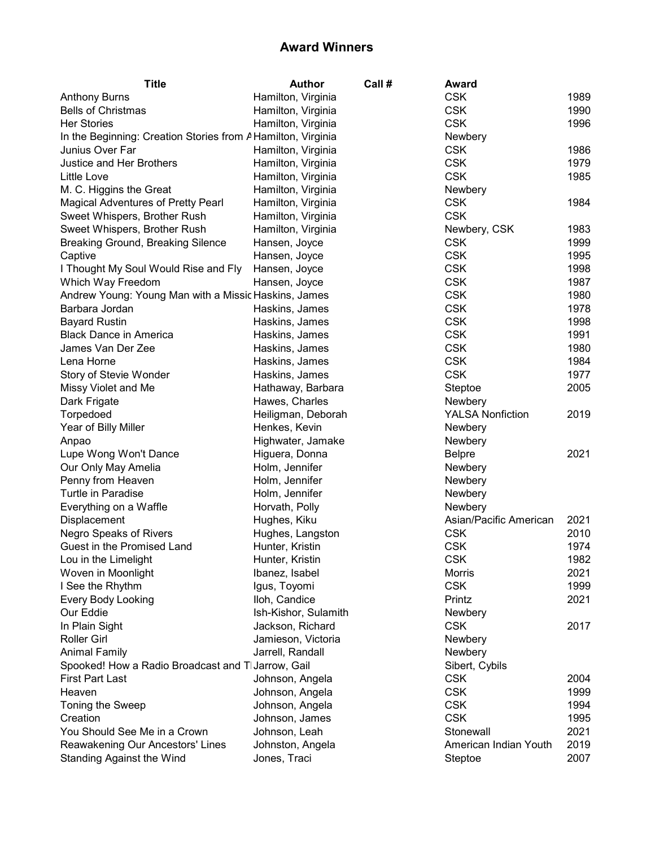| <b>Title</b>                                                 |                    | <b>Author</b>        | Call # | Award                   |      |
|--------------------------------------------------------------|--------------------|----------------------|--------|-------------------------|------|
| <b>Anthony Burns</b>                                         | Hamilton, Virginia |                      |        | <b>CSK</b>              | 1989 |
| <b>Bells of Christmas</b>                                    | Hamilton, Virginia |                      |        | <b>CSK</b>              | 1990 |
| <b>Her Stories</b>                                           | Hamilton, Virginia |                      |        | <b>CSK</b>              | 1996 |
| In the Beginning: Creation Stories from A Hamilton, Virginia |                    |                      |        | Newbery                 |      |
| Junius Over Far                                              | Hamilton, Virginia |                      |        | <b>CSK</b>              | 1986 |
| Justice and Her Brothers                                     | Hamilton, Virginia |                      |        | <b>CSK</b>              | 1979 |
| Little Love                                                  | Hamilton, Virginia |                      |        | <b>CSK</b>              | 1985 |
| M. C. Higgins the Great                                      | Hamilton, Virginia |                      |        | Newbery                 |      |
| Magical Adventures of Pretty Pearl                           | Hamilton, Virginia |                      |        | <b>CSK</b>              | 1984 |
| Sweet Whispers, Brother Rush                                 | Hamilton, Virginia |                      |        | <b>CSK</b>              |      |
| Sweet Whispers, Brother Rush                                 | Hamilton, Virginia |                      |        | Newbery, CSK            | 1983 |
| Breaking Ground, Breaking Silence                            | Hansen, Joyce      |                      |        | <b>CSK</b>              | 1999 |
| Captive                                                      | Hansen, Joyce      |                      |        | <b>CSK</b>              | 1995 |
| I Thought My Soul Would Rise and Fly                         | Hansen, Joyce      |                      |        | <b>CSK</b>              | 1998 |
| Which Way Freedom                                            | Hansen, Joyce      |                      |        | <b>CSK</b>              | 1987 |
| Andrew Young: Young Man with a Missic Haskins, James         |                    |                      |        | <b>CSK</b>              | 1980 |
| Barbara Jordan                                               | Haskins, James     |                      |        | <b>CSK</b>              | 1978 |
| <b>Bayard Rustin</b>                                         | Haskins, James     |                      |        | <b>CSK</b>              | 1998 |
| <b>Black Dance in America</b>                                | Haskins, James     |                      |        | <b>CSK</b>              | 1991 |
| James Van Der Zee                                            | Haskins, James     |                      |        | <b>CSK</b>              | 1980 |
| Lena Horne                                                   | Haskins, James     |                      |        | <b>CSK</b>              | 1984 |
| Story of Stevie Wonder                                       | Haskins, James     |                      |        | <b>CSK</b>              | 1977 |
| Missy Violet and Me                                          |                    | Hathaway, Barbara    |        | Steptoe                 | 2005 |
| Dark Frigate                                                 | Hawes, Charles     |                      |        | Newbery                 |      |
| Torpedoed                                                    |                    | Heiligman, Deborah   |        | <b>YALSA Nonfiction</b> | 2019 |
| Year of Billy Miller                                         | Henkes, Kevin      |                      |        | Newbery                 |      |
| Anpao                                                        |                    | Highwater, Jamake    |        | Newbery                 |      |
| Lupe Wong Won't Dance                                        | Higuera, Donna     |                      |        | <b>Belpre</b>           | 2021 |
| Our Only May Amelia                                          | Holm, Jennifer     |                      |        | Newbery                 |      |
| Penny from Heaven                                            | Holm, Jennifer     |                      |        | Newbery                 |      |
| Turtle in Paradise                                           | Holm, Jennifer     |                      |        | Newbery                 |      |
| Everything on a Waffle                                       | Horvath, Polly     |                      |        | Newbery                 |      |
| Displacement                                                 | Hughes, Kiku       |                      |        | Asian/Pacific American  | 2021 |
| Negro Speaks of Rivers                                       | Hughes, Langston   |                      |        | <b>CSK</b>              | 2010 |
| Guest in the Promised Land                                   | Hunter, Kristin    |                      |        | <b>CSK</b>              | 1974 |
| Lou in the Limelight                                         | Hunter, Kristin    |                      |        | <b>CSK</b>              | 1982 |
| Woven in Moonlight                                           | Ibanez, Isabel     |                      |        | Morris                  | 2021 |
| I See the Rhythm                                             | Igus, Toyomi       |                      |        | <b>CSK</b>              | 1999 |
| <b>Every Body Looking</b>                                    | Iloh, Candice      |                      |        | Printz                  | 2021 |
| Our Eddie                                                    |                    | Ish-Kishor, Sulamith |        | Newbery                 |      |
| In Plain Sight                                               | Jackson, Richard   |                      |        | <b>CSK</b>              | 2017 |
| <b>Roller Girl</b>                                           | Jamieson, Victoria |                      |        | Newbery                 |      |
| <b>Animal Family</b>                                         | Jarrell, Randall   |                      |        | Newbery                 |      |
| Spooked! How a Radio Broadcast and T Jarrow, Gail            |                    |                      |        | Sibert, Cybils          |      |
| <b>First Part Last</b>                                       | Johnson, Angela    |                      |        | <b>CSK</b>              | 2004 |
| Heaven                                                       | Johnson, Angela    |                      |        | <b>CSK</b>              | 1999 |
| Toning the Sweep                                             | Johnson, Angela    |                      |        | <b>CSK</b>              | 1994 |
| Creation                                                     | Johnson, James     |                      |        | <b>CSK</b>              | 1995 |
| You Should See Me in a Crown                                 | Johnson, Leah      |                      |        | Stonewall               | 2021 |
| Reawakening Our Ancestors' Lines                             | Johnston, Angela   |                      |        | American Indian Youth   | 2019 |
| Standing Against the Wind                                    | Jones, Traci       |                      |        | Steptoe                 | 2007 |
|                                                              |                    |                      |        |                         |      |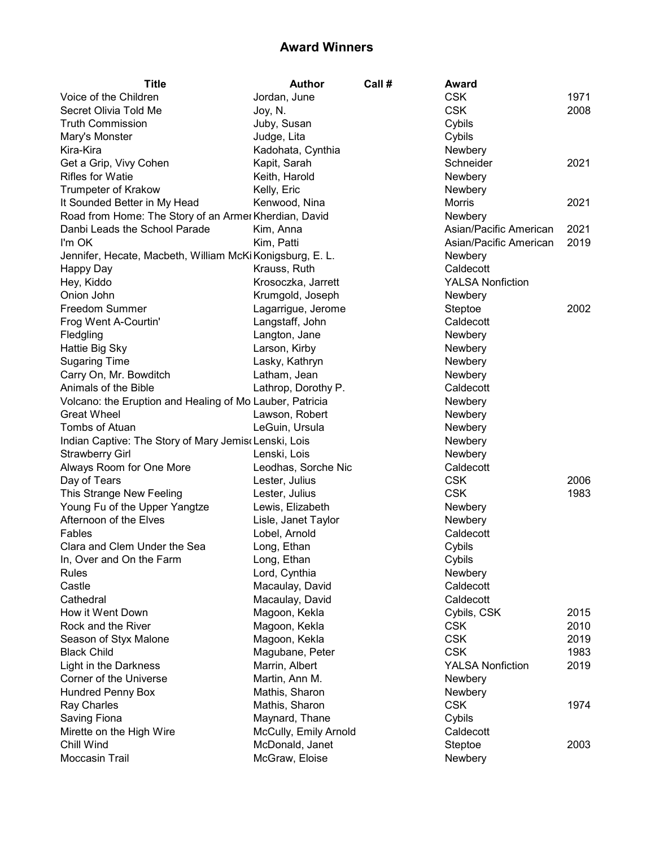| <b>Title</b>                                              | Author                | Call # | Award                   |      |
|-----------------------------------------------------------|-----------------------|--------|-------------------------|------|
| Voice of the Children                                     | Jordan, June          |        | <b>CSK</b>              | 1971 |
| Secret Olivia Told Me                                     | Joy, N.               |        | <b>CSK</b>              | 2008 |
| <b>Truth Commission</b>                                   | Juby, Susan           |        | Cybils                  |      |
| Mary's Monster                                            | Judge, Lita           |        | Cybils                  |      |
| Kira-Kira                                                 | Kadohata, Cynthia     |        | Newbery                 |      |
| Get a Grip, Vivy Cohen                                    | Kapit, Sarah          |        | Schneider               | 2021 |
| <b>Rifles for Watie</b>                                   | Keith, Harold         |        | Newbery                 |      |
| <b>Trumpeter of Krakow</b>                                | Kelly, Eric           |        | Newbery                 |      |
| It Sounded Better in My Head                              | Kenwood, Nina         |        | <b>Morris</b>           | 2021 |
| Road from Home: The Story of an Armer Kherdian, David     |                       |        | Newbery                 |      |
| Danbi Leads the School Parade                             | Kim, Anna             |        | Asian/Pacific American  | 2021 |
| I'm OK                                                    | Kim, Patti            |        | Asian/Pacific American  | 2019 |
| Jennifer, Hecate, Macbeth, William McKi Konigsburg, E. L. |                       |        | Newbery                 |      |
| Happy Day                                                 | Krauss, Ruth          |        | Caldecott               |      |
| Hey, Kiddo                                                | Krosoczka, Jarrett    |        | <b>YALSA Nonfiction</b> |      |
| Onion John                                                | Krumgold, Joseph      |        | Newbery                 |      |
| <b>Freedom Summer</b>                                     | Lagarrigue, Jerome    |        | Steptoe                 | 2002 |
| Frog Went A-Courtin'                                      | Langstaff, John       |        | Caldecott               |      |
| Fledgling                                                 | Langton, Jane         |        | Newbery                 |      |
| Hattie Big Sky                                            | Larson, Kirby         |        | Newbery                 |      |
| <b>Sugaring Time</b>                                      | Lasky, Kathryn        |        | Newbery                 |      |
| Carry On, Mr. Bowditch                                    | Latham, Jean          |        | Newbery                 |      |
| Animals of the Bible                                      | Lathrop, Dorothy P.   |        | Caldecott               |      |
| Volcano: the Eruption and Healing of Mo Lauber, Patricia  |                       |        | Newbery                 |      |
| <b>Great Wheel</b>                                        | Lawson, Robert        |        | Newbery                 |      |
| Tombs of Atuan                                            | LeGuin, Ursula        |        | Newbery                 |      |
| Indian Captive: The Story of Mary Jemis Lenski, Lois      |                       |        | Newbery                 |      |
| <b>Strawberry Girl</b>                                    | Lenski, Lois          |        | Newbery                 |      |
| Always Room for One More                                  | Leodhas, Sorche Nic   |        | Caldecott               |      |
| Day of Tears                                              | Lester, Julius        |        | <b>CSK</b>              | 2006 |
| This Strange New Feeling                                  |                       |        | <b>CSK</b>              | 1983 |
|                                                           | Lester, Julius        |        |                         |      |
| Young Fu of the Upper Yangtze                             | Lewis, Elizabeth      |        | Newbery                 |      |
| Afternoon of the Elves                                    | Lisle, Janet Taylor   |        | Newbery                 |      |
| Fables                                                    | Lobel, Arnold         |        | Caldecott               |      |
| Clara and Clem Under the Sea                              | Long, Ethan           |        | Cybils                  |      |
| In, Over and On the Farm                                  | Long, Ethan           |        | Cybils                  |      |
| Rules                                                     | Lord, Cynthia         |        | Newbery                 |      |
| Castle                                                    | Macaulay, David       |        | Caldecott               |      |
| Cathedral                                                 | Macaulay, David       |        | Caldecott               |      |
| How it Went Down                                          | Magoon, Kekla         |        | Cybils, CSK             | 2015 |
| Rock and the River                                        | Magoon, Kekla         |        | <b>CSK</b>              | 2010 |
| Season of Styx Malone                                     | Magoon, Kekla         |        | <b>CSK</b>              | 2019 |
| <b>Black Child</b>                                        | Magubane, Peter       |        | <b>CSK</b>              | 1983 |
| Light in the Darkness                                     | Marrin, Albert        |        | <b>YALSA Nonfiction</b> | 2019 |
| Corner of the Universe                                    | Martin, Ann M.        |        | Newbery                 |      |
| <b>Hundred Penny Box</b>                                  | Mathis, Sharon        |        | Newbery                 |      |
| Ray Charles                                               | Mathis, Sharon        |        | <b>CSK</b>              | 1974 |
| Saving Fiona                                              | Maynard, Thane        |        | Cybils                  |      |
| Mirette on the High Wire                                  | McCully, Emily Arnold |        | Caldecott               |      |
| Chill Wind                                                | McDonald, Janet       |        | Steptoe                 | 2003 |
| Moccasin Trail                                            | McGraw, Eloise        |        | Newbery                 |      |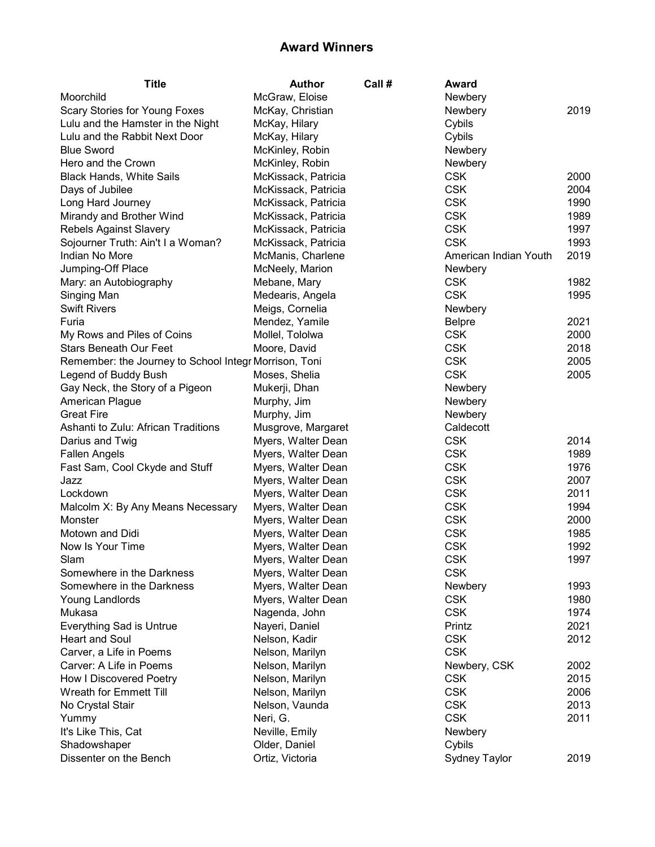| <b>Title</b>                                          | <b>Author</b>                            | Call # | Award                 |              |
|-------------------------------------------------------|------------------------------------------|--------|-----------------------|--------------|
| Moorchild                                             | McGraw, Eloise                           |        | Newbery               |              |
| Scary Stories for Young Foxes                         | McKay, Christian                         |        | Newbery               | 2019         |
| Lulu and the Hamster in the Night                     | McKay, Hilary                            |        | Cybils                |              |
| Lulu and the Rabbit Next Door                         | McKay, Hilary                            |        | Cybils                |              |
| <b>Blue Sword</b>                                     | McKinley, Robin                          |        | Newbery               |              |
| Hero and the Crown                                    | McKinley, Robin                          |        | Newbery               |              |
| <b>Black Hands, White Sails</b>                       | McKissack, Patricia                      |        | <b>CSK</b>            | 2000         |
| Days of Jubilee                                       | McKissack, Patricia                      |        | <b>CSK</b>            | 2004         |
| Long Hard Journey                                     | McKissack, Patricia                      |        | <b>CSK</b>            | 1990         |
| Mirandy and Brother Wind                              | McKissack, Patricia                      |        | <b>CSK</b>            | 1989         |
| <b>Rebels Against Slavery</b>                         | McKissack, Patricia                      |        | <b>CSK</b>            | 1997         |
| Sojourner Truth: Ain't I a Woman?                     | McKissack, Patricia                      |        | <b>CSK</b>            | 1993         |
| Indian No More                                        | McManis, Charlene                        |        | American Indian Youth | 2019         |
| Jumping-Off Place                                     | McNeely, Marion                          |        | Newbery               |              |
| Mary: an Autobiography                                | Mebane, Mary                             |        | <b>CSK</b>            | 1982         |
| Singing Man                                           | Medearis, Angela                         |        | <b>CSK</b>            | 1995         |
| <b>Swift Rivers</b>                                   | Meigs, Cornelia                          |        | Newbery               |              |
| Furia                                                 | Mendez, Yamile                           |        | <b>Belpre</b>         | 2021         |
| My Rows and Piles of Coins                            | Mollel, Tololwa                          |        | <b>CSK</b>            | 2000         |
| <b>Stars Beneath Our Feet</b>                         | Moore, David                             |        | <b>CSK</b>            | 2018         |
| Remember: the Journey to School Integr Morrison, Toni |                                          |        | <b>CSK</b>            | 2005         |
| Legend of Buddy Bush                                  | Moses, Shelia                            |        | <b>CSK</b>            | 2005         |
| Gay Neck, the Story of a Pigeon                       | Mukerji, Dhan                            |        | Newbery               |              |
| American Plague                                       | Murphy, Jim                              |        | Newbery               |              |
| <b>Great Fire</b>                                     | Murphy, Jim                              |        | Newbery               |              |
| Ashanti to Zulu: African Traditions                   | Musgrove, Margaret                       |        | Caldecott             |              |
| Darius and Twig                                       | Myers, Walter Dean                       |        | <b>CSK</b>            | 2014         |
| <b>Fallen Angels</b>                                  | Myers, Walter Dean                       |        | <b>CSK</b>            | 1989         |
| Fast Sam, Cool Ckyde and Stuff                        | Myers, Walter Dean                       |        | <b>CSK</b>            | 1976         |
| Jazz                                                  | Myers, Walter Dean                       |        | <b>CSK</b>            | 2007         |
| Lockdown                                              | Myers, Walter Dean                       |        | <b>CSK</b>            | 2011         |
| Malcolm X: By Any Means Necessary                     |                                          |        | <b>CSK</b>            | 1994         |
| Monster                                               | Myers, Walter Dean<br>Myers, Walter Dean |        | <b>CSK</b>            | 2000         |
|                                                       | Myers, Walter Dean                       |        | <b>CSK</b>            | 1985         |
| Motown and Didi<br>Now Is Your Time                   |                                          |        | <b>CSK</b>            |              |
|                                                       | Myers, Walter Dean<br>Myers, Walter Dean |        | <b>CSK</b>            | 1992<br>1997 |
| Slam                                                  |                                          |        |                       |              |
| Somewhere in the Darkness                             | Myers, Walter Dean                       |        | <b>CSK</b>            |              |
| Somewhere in the Darkness                             | Myers, Walter Dean                       |        | Newbery               | 1993         |
| Young Landlords                                       | Myers, Walter Dean                       |        | <b>CSK</b>            | 1980         |
| Mukasa                                                | Nagenda, John                            |        | <b>CSK</b>            | 1974         |
| <b>Everything Sad is Untrue</b>                       | Nayeri, Daniel                           |        | Printz                | 2021         |
| <b>Heart and Soul</b>                                 | Nelson, Kadir                            |        | <b>CSK</b>            | 2012         |
| Carver, a Life in Poems                               | Nelson, Marilyn                          |        | <b>CSK</b>            |              |
| Carver: A Life in Poems                               | Nelson, Marilyn                          |        | Newbery, CSK          | 2002         |
| How I Discovered Poetry                               | Nelson, Marilyn                          |        | <b>CSK</b>            | 2015         |
| Wreath for Emmett Till                                | Nelson, Marilyn                          |        | <b>CSK</b>            | 2006         |
| No Crystal Stair                                      | Nelson, Vaunda                           |        | <b>CSK</b>            | 2013         |
| Yummy                                                 | Neri, G.                                 |        | <b>CSK</b>            | 2011         |
| It's Like This, Cat                                   | Neville, Emily                           |        | Newbery               |              |
| Shadowshaper                                          | Older, Daniel                            |        | Cybils                |              |
| Dissenter on the Bench                                | Ortiz, Victoria                          |        | Sydney Taylor         | 2019         |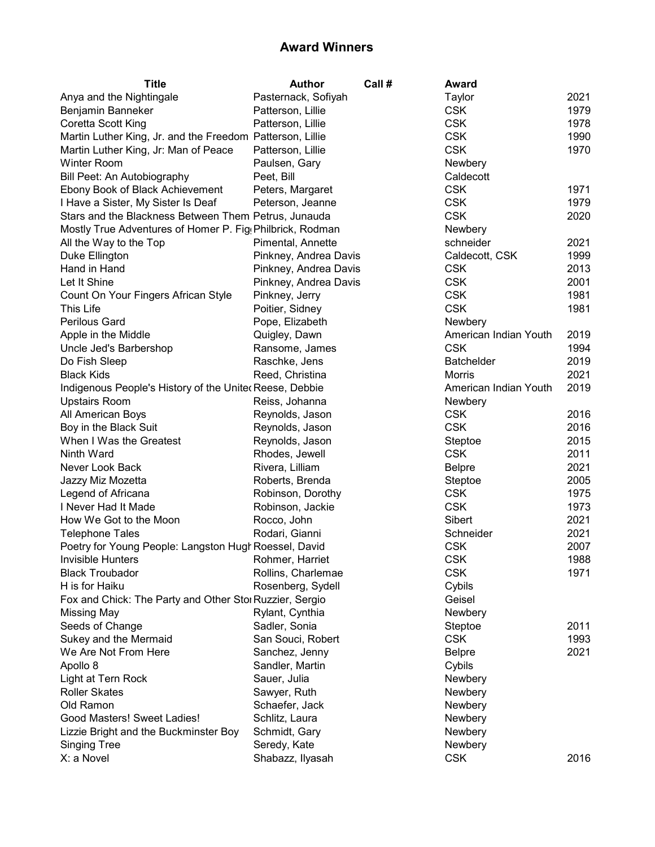| <b>Title</b>                                              | <b>Author</b>         | Call # | Award                 |      |
|-----------------------------------------------------------|-----------------------|--------|-----------------------|------|
| Anya and the Nightingale                                  | Pasternack, Sofiyah   |        | Taylor                | 2021 |
| Benjamin Banneker                                         | Patterson, Lillie     |        | <b>CSK</b>            | 1979 |
| Coretta Scott King                                        | Patterson, Lillie     |        | <b>CSK</b>            | 1978 |
| Martin Luther King, Jr. and the Freedom Patterson, Lillie |                       |        | <b>CSK</b>            | 1990 |
| Martin Luther King, Jr: Man of Peace                      | Patterson, Lillie     |        | <b>CSK</b>            | 1970 |
| <b>Winter Room</b>                                        | Paulsen, Gary         |        | Newbery               |      |
| Bill Peet: An Autobiography                               | Peet, Bill            |        | Caldecott             |      |
| Ebony Book of Black Achievement                           | Peters, Margaret      |        | <b>CSK</b>            | 1971 |
| I Have a Sister, My Sister Is Deaf                        | Peterson, Jeanne      |        | <b>CSK</b>            | 1979 |
| Stars and the Blackness Between Them Petrus, Junauda      |                       |        | <b>CSK</b>            | 2020 |
| Mostly True Adventures of Homer P. Fig Philbrick, Rodman  |                       |        | Newbery               |      |
| All the Way to the Top                                    | Pimental, Annette     |        | schneider             | 2021 |
| Duke Ellington                                            | Pinkney, Andrea Davis |        | Caldecott, CSK        | 1999 |
| Hand in Hand                                              | Pinkney, Andrea Davis |        | <b>CSK</b>            | 2013 |
| Let It Shine                                              | Pinkney, Andrea Davis |        | <b>CSK</b>            | 2001 |
| Count On Your Fingers African Style                       | Pinkney, Jerry        |        | <b>CSK</b>            | 1981 |
| This Life                                                 | Poitier, Sidney       |        | <b>CSK</b>            | 1981 |
| <b>Perilous Gard</b>                                      | Pope, Elizabeth       |        | Newbery               |      |
| Apple in the Middle                                       | Quigley, Dawn         |        | American Indian Youth | 2019 |
| Uncle Jed's Barbershop                                    | Ransome, James        |        | <b>CSK</b>            | 1994 |
| Do Fish Sleep                                             | Raschke, Jens         |        | <b>Batchelder</b>     | 2019 |
| <b>Black Kids</b>                                         | Reed, Christina       |        | Morris                | 2021 |
| Indigenous People's History of the Uniter Reese, Debbie   |                       |        | American Indian Youth | 2019 |
| <b>Upstairs Room</b>                                      | Reiss, Johanna        |        | Newbery               |      |
| All American Boys                                         | Reynolds, Jason       |        | <b>CSK</b>            | 2016 |
| Boy in the Black Suit                                     | Reynolds, Jason       |        | <b>CSK</b>            | 2016 |
| When I Was the Greatest                                   | Reynolds, Jason       |        | Steptoe               | 2015 |
| Ninth Ward                                                | Rhodes, Jewell        |        | <b>CSK</b>            | 2011 |
| Never Look Back                                           | Rivera, Lilliam       |        | <b>Belpre</b>         | 2021 |
| Jazzy Miz Mozetta                                         | Roberts, Brenda       |        | Steptoe               | 2005 |
| Legend of Africana                                        | Robinson, Dorothy     |        | <b>CSK</b>            | 1975 |
| I Never Had It Made                                       | Robinson, Jackie      |        | <b>CSK</b>            | 1973 |
| How We Got to the Moon                                    | Rocco, John           |        | Sibert                | 2021 |
| <b>Telephone Tales</b>                                    | Rodari, Gianni        |        | Schneider             | 2021 |
| Poetry for Young People: Langston Hugh Roessel, David     |                       |        | <b>CSK</b>            | 2007 |
| Invisible Hunters <b>No. 1988</b> Rohmer, Harriet         |                       |        | <b>CSK</b>            | 1988 |
| <b>Black Troubador</b>                                    | Rollins, Charlemae    |        | <b>CSK</b>            | 1971 |
| H is for Haiku                                            | Rosenberg, Sydell     |        | Cybils                |      |
| Fox and Chick: The Party and Other Stol Ruzzier, Sergio   |                       |        | Geisel                |      |
| Missing May                                               | Rylant, Cynthia       |        | Newbery               |      |
| Seeds of Change                                           | Sadler, Sonia         |        | Steptoe               | 2011 |
| Sukey and the Mermaid                                     | San Souci, Robert     |        | <b>CSK</b>            | 1993 |
| We Are Not From Here                                      | Sanchez, Jenny        |        | <b>Belpre</b>         | 2021 |
| Apollo 8                                                  | Sandler, Martin       |        | Cybils                |      |
| Light at Tern Rock                                        | Sauer, Julia          |        | Newbery               |      |
| <b>Roller Skates</b>                                      | Sawyer, Ruth          |        | Newbery               |      |
| Old Ramon                                                 | Schaefer, Jack        |        | Newbery               |      |
| Good Masters! Sweet Ladies!                               | Schlitz, Laura        |        | Newbery               |      |
| Lizzie Bright and the Buckminster Boy                     | Schmidt, Gary         |        | Newbery               |      |
| <b>Singing Tree</b>                                       | Seredy, Kate          |        | Newbery               |      |
| X: a Novel                                                | Shabazz, Ilyasah      |        | <b>CSK</b>            | 2016 |
|                                                           |                       |        |                       |      |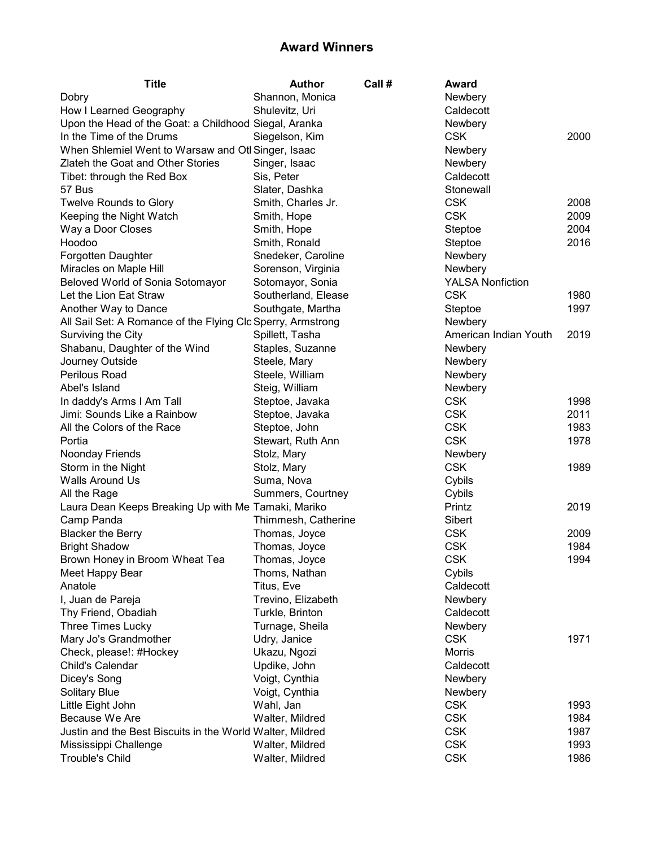| <b>Title</b>                                                | <b>Author</b>       | Call # | Award                   |      |
|-------------------------------------------------------------|---------------------|--------|-------------------------|------|
| Dobry                                                       | Shannon, Monica     |        | Newbery                 |      |
| How I Learned Geography                                     | Shulevitz, Uri      |        | Caldecott               |      |
| Upon the Head of the Goat: a Childhood Siegal, Aranka       |                     |        | Newbery                 |      |
| In the Time of the Drums                                    | Siegelson, Kim      |        | <b>CSK</b>              | 2000 |
| When Shlemiel Went to Warsaw and Otl Singer, Isaac          |                     |        | Newbery                 |      |
| Zlateh the Goat and Other Stories                           | Singer, Isaac       |        | Newbery                 |      |
| Tibet: through the Red Box                                  | Sis, Peter          |        | Caldecott               |      |
| 57 Bus                                                      | Slater, Dashka      |        | Stonewall               |      |
| <b>Twelve Rounds to Glory</b>                               | Smith, Charles Jr.  |        | <b>CSK</b>              | 2008 |
| Keeping the Night Watch                                     | Smith, Hope         |        | <b>CSK</b>              | 2009 |
| Way a Door Closes                                           | Smith, Hope         |        | Steptoe                 | 2004 |
| Hoodoo                                                      | Smith, Ronald       |        | Steptoe                 | 2016 |
| Forgotten Daughter                                          | Snedeker, Caroline  |        | Newbery                 |      |
| Miracles on Maple Hill                                      | Sorenson, Virginia  |        | Newbery                 |      |
| Beloved World of Sonia Sotomayor                            | Sotomayor, Sonia    |        | <b>YALSA Nonfiction</b> |      |
| Let the Lion Eat Straw                                      | Southerland, Elease |        | <b>CSK</b>              | 1980 |
| Another Way to Dance                                        | Southgate, Martha   |        | Steptoe                 | 1997 |
| All Sail Set: A Romance of the Flying Clo Sperry, Armstrong |                     |        | Newbery                 |      |
| Surviving the City                                          | Spillett, Tasha     |        | American Indian Youth   | 2019 |
| Shabanu, Daughter of the Wind                               | Staples, Suzanne    |        | Newbery                 |      |
| Journey Outside                                             | Steele, Mary        |        | Newbery                 |      |
| Perilous Road                                               | Steele, William     |        | Newbery                 |      |
| Abel's Island                                               | Steig, William      |        | Newbery                 |      |
| In daddy's Arms I Am Tall                                   | Steptoe, Javaka     |        | <b>CSK</b>              | 1998 |
| Jimi: Sounds Like a Rainbow                                 | Steptoe, Javaka     |        | <b>CSK</b>              | 2011 |
| All the Colors of the Race                                  | Steptoe, John       |        | <b>CSK</b>              | 1983 |
| Portia                                                      | Stewart, Ruth Ann   |        | <b>CSK</b>              | 1978 |
| Noonday Friends                                             | Stolz, Mary         |        | Newbery                 |      |
| Storm in the Night                                          | Stolz, Mary         |        | <b>CSK</b>              | 1989 |
| Walls Around Us                                             | Suma, Nova          |        | Cybils                  |      |
| All the Rage                                                | Summers, Courtney   |        | Cybils                  |      |
| Laura Dean Keeps Breaking Up with Me Tamaki, Mariko         |                     |        | Printz                  | 2019 |
| Camp Panda                                                  | Thimmesh, Catherine |        | Sibert                  |      |
| <b>Blacker the Berry</b>                                    | Thomas, Joyce       |        | <b>CSK</b>              | 2009 |
| <b>Bright Shadow</b>                                        | Thomas, Joyce       |        | <b>CSK</b>              | 1984 |
| Brown Honey in Broom Wheat Tea                              | Thomas, Joyce       |        | <b>CSK</b>              | 1994 |
| Meet Happy Bear                                             | Thoms, Nathan       |        | Cybils                  |      |
| Anatole                                                     | Titus, Eve          |        | Caldecott               |      |
| I, Juan de Pareja                                           | Trevino, Elizabeth  |        | Newbery                 |      |
| Thy Friend, Obadiah                                         | Turkle, Brinton     |        | Caldecott               |      |
| Three Times Lucky                                           | Turnage, Sheila     |        | Newbery                 |      |
| Mary Jo's Grandmother                                       | Udry, Janice        |        | <b>CSK</b>              | 1971 |
| Check, please!: #Hockey                                     | Ukazu, Ngozi        |        | Morris                  |      |
| Child's Calendar                                            | Updike, John        |        | Caldecott               |      |
| Dicey's Song                                                | Voigt, Cynthia      |        | Newbery                 |      |
| <b>Solitary Blue</b>                                        | Voigt, Cynthia      |        | Newbery                 |      |
| Little Eight John                                           | Wahl, Jan           |        | <b>CSK</b>              | 1993 |
| Because We Are                                              | Walter, Mildred     |        | <b>CSK</b>              | 1984 |
| Justin and the Best Biscuits in the World Walter, Mildred   |                     |        | <b>CSK</b>              | 1987 |
| Mississippi Challenge                                       | Walter, Mildred     |        | <b>CSK</b>              | 1993 |
| <b>Trouble's Child</b>                                      | Walter, Mildred     |        | <b>CSK</b>              | 1986 |
|                                                             |                     |        |                         |      |